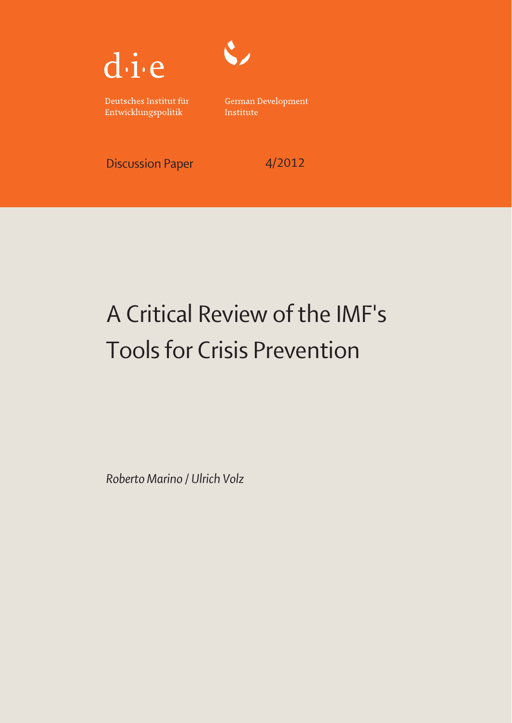



Deutsches Institut für Entwicklungspolitik

German Development Institute

Discussion Paper 4/2012

# A Critical Review of the IMF's Tools for Crisis Prevention

*Roberto Marino / Ulrich Volz*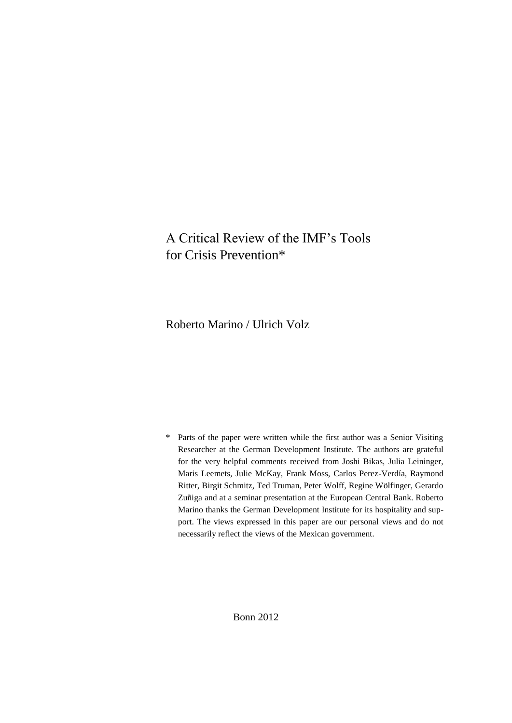# A Critical Review of the IMF's Tools for Crisis Prevention\*

Roberto Marino / Ulrich Volz

\* Parts of the paper were written while the first author was a Senior Visiting Researcher at the German Development Institute. The authors are grateful for the very helpful comments received from Joshi Bikas, Julia Leininger, Maris Leemets, Julie McKay, Frank Moss, Carlos Perez-Verdía, Raymond Ritter, Birgit Schmitz, Ted Truman, Peter Wolff, Regine Wölfinger, Gerardo Zuñiga and at a seminar presentation at the European Central Bank. Roberto Marino thanks the German Development Institute for its hospitality and support. The views expressed in this paper are our personal views and do not necessarily reflect the views of the Mexican government.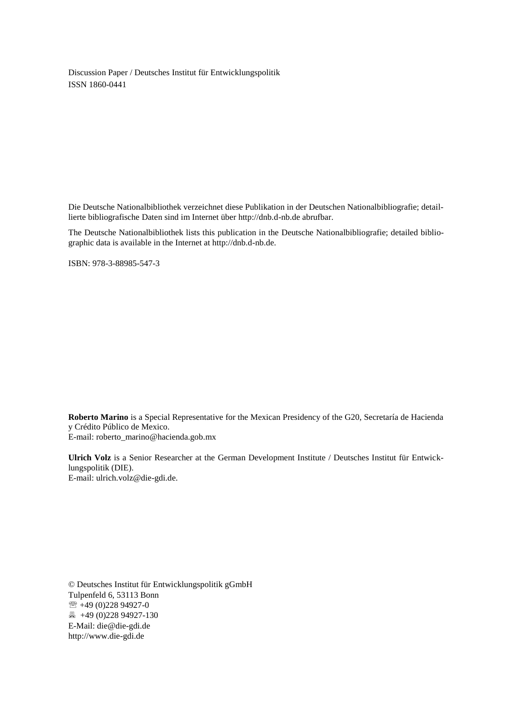Discussion Paper / Deutsches Institut für Entwicklungspolitik ISSN 1860-0441

Die Deutsche Nationalbibliothek verzeichnet diese Publikation in der Deutschen Nationalbibliografie; detaillierte bibliografische Daten sind im Internet über http://dnb.d-nb.de abrufbar.

The Deutsche Nationalbibliothek lists this publication in the Deutsche Nationalbibliografie; detailed bibliographic data is available in the Internet at http://dnb.d-nb.de.

ISBN: 978-3-88985-547-3

**Roberto Marino** is a Special Representative for the Mexican Presidency of the G20, Secretaría de Hacienda y Crédito Público de Mexico. E-mail: roberto\_marino@hacienda.gob.mx

**Ulrich Volz** is a Senior Researcher at the German Development Institute / Deutsches Institut für Entwicklungspolitik (DIE). E-mail: ulrich.volz@die-gdi.de.

© Deutsches Institut für Entwicklungspolitik gGmbH Tulpenfeld 6, 53113 Bonn +49 (0)228 94927-0 +49 (0)228 94927-130 E-Mail: [die@die-gdi.de](mailto:die@die-gdi.de) http:/[/www.die-gdi.de](http://www.die-gdi.de/)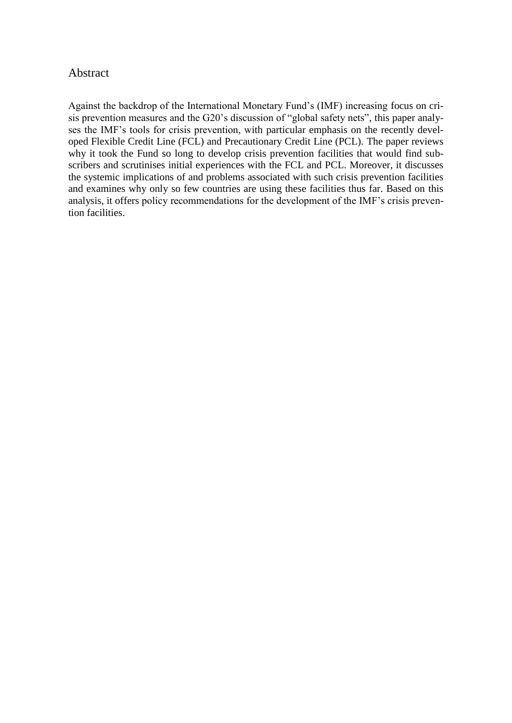# Abstract

Against the backdrop of the International Monetary Fund's (IMF) increasing focus on crisis prevention measures and the G20's discussion of "global safety nets", this paper analyses the IMF's tools for crisis prevention, with particular emphasis on the recently developed Flexible Credit Line (FCL) and Precautionary Credit Line (PCL). The paper reviews why it took the Fund so long to develop crisis prevention facilities that would find subscribers and scrutinises initial experiences with the FCL and PCL. Moreover, it discusses the systemic implications of and problems associated with such crisis prevention facilities and examines why only so few countries are using these facilities thus far. Based on this analysis, it offers policy recommendations for the development of the IMF's crisis prevention facilities.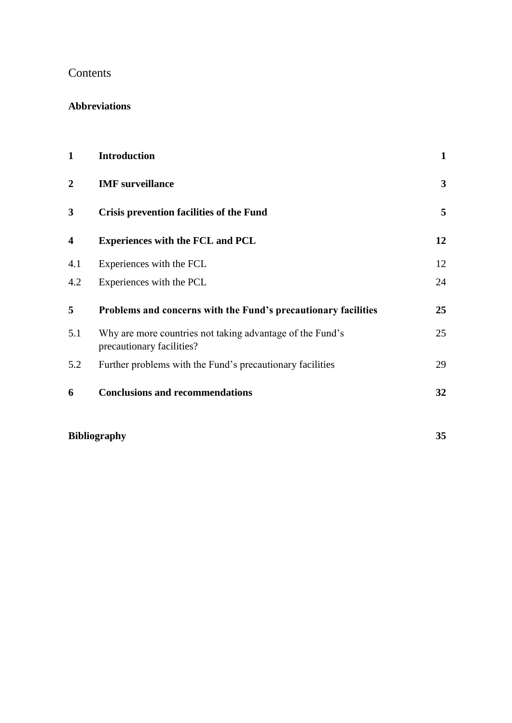# Contents

# **Abbreviations**

| $\mathbf{1}$            | <b>Introduction</b>                                                                    | $\mathbf{1}$ |
|-------------------------|----------------------------------------------------------------------------------------|--------------|
| $\mathbf{2}$            | <b>IMF</b> surveillance                                                                | $\mathbf{3}$ |
| 3                       | <b>Crisis prevention facilities of the Fund</b>                                        | 5            |
| $\overline{\mathbf{4}}$ | <b>Experiences with the FCL and PCL</b>                                                | 12           |
| 4.1                     | Experiences with the FCL                                                               | 12           |
| 4.2                     | Experiences with the PCL                                                               | 24           |
| 5                       | Problems and concerns with the Fund's precautionary facilities                         | 25           |
| 5.1                     | Why are more countries not taking advantage of the Fund's<br>precautionary facilities? | 25           |
| 5.2                     | Further problems with the Fund's precautionary facilities                              | 29           |
| 6                       | <b>Conclusions and recommendations</b>                                                 | 32           |

# **Bibliography 35**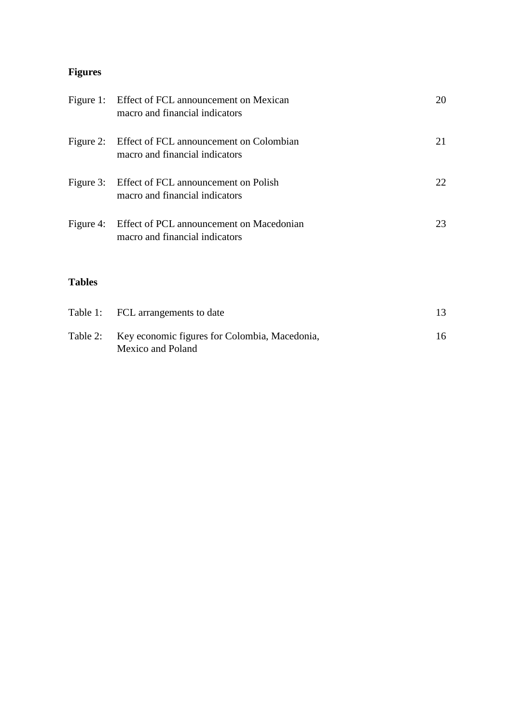# **Figures**

|               | Figure 1: Effect of FCL announcement on Mexican<br>macro and financial indicators    | 20 |
|---------------|--------------------------------------------------------------------------------------|----|
|               | Figure 2: Effect of FCL announcement on Colombian<br>macro and financial indicators  | 21 |
|               | Figure 3: Effect of FCL announcement on Polish<br>macro and financial indicators     | 22 |
|               | Figure 4: Effect of PCL announcement on Macedonian<br>macro and financial indicators | 23 |
| <b>Tables</b> |                                                                                      |    |
|               | Table 1: FCL arrangements to date                                                    | 13 |
| Table 2:      | Key economic figures for Colombia, Macedonia,                                        | 16 |

Mexico and Poland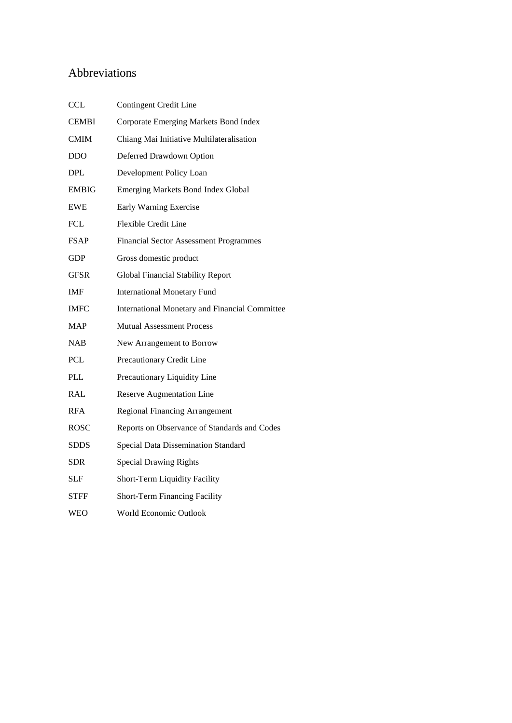# Abbreviations

| <b>CCL</b>   | Contingent Credit Line                                |
|--------------|-------------------------------------------------------|
| <b>CEMBI</b> | Corporate Emerging Markets Bond Index                 |
| <b>CMIM</b>  | Chiang Mai Initiative Multilateralisation             |
| <b>DDO</b>   | Deferred Drawdown Option                              |
| DPL.         | Development Policy Loan                               |
| <b>EMBIG</b> | <b>Emerging Markets Bond Index Global</b>             |
| <b>EWE</b>   | Early Warning Exercise                                |
| <b>FCL</b>   | Flexible Credit Line                                  |
| <b>FSAP</b>  | <b>Financial Sector Assessment Programmes</b>         |
| GDP          | Gross domestic product                                |
| GFSR         | Global Financial Stability Report                     |
| <b>IMF</b>   | <b>International Monetary Fund</b>                    |
| <b>IMFC</b>  | <b>International Monetary and Financial Committee</b> |
| <b>MAP</b>   | <b>Mutual Assessment Process</b>                      |
| <b>NAB</b>   | New Arrangement to Borrow                             |
| <b>PCL</b>   | Precautionary Credit Line                             |
| <b>PLL</b>   | Precautionary Liquidity Line                          |
| RAL          | <b>Reserve Augmentation Line</b>                      |
| <b>RFA</b>   | <b>Regional Financing Arrangement</b>                 |
| ROSC         | Reports on Observance of Standards and Codes          |
| <b>SDDS</b>  | Special Data Dissemination Standard                   |
| <b>SDR</b>   | <b>Special Drawing Rights</b>                         |
| SLF          | Short-Term Liquidity Facility                         |
| STFF         | Short-Term Financing Facility                         |
| WEO          | World Economic Outlook                                |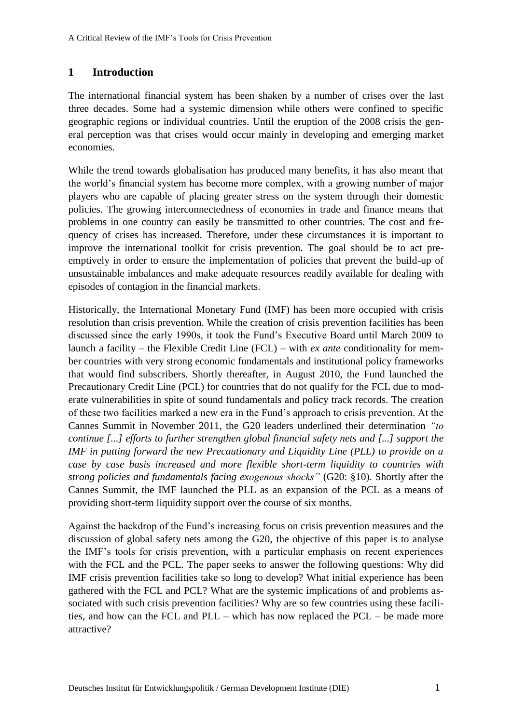# **1 Introduction**

The international financial system has been shaken by a number of crises over the last three decades. Some had a systemic dimension while others were confined to specific geographic regions or individual countries. Until the eruption of the 2008 crisis the general perception was that crises would occur mainly in developing and emerging market economies.

While the trend towards globalisation has produced many benefits, it has also meant that the world's financial system has become more complex, with a growing number of major players who are capable of placing greater stress on the system through their domestic policies. The growing interconnectedness of economies in trade and finance means that problems in one country can easily be transmitted to other countries. The cost and frequency of crises has increased. Therefore, under these circumstances it is important to improve the international toolkit for crisis prevention. The goal should be to act preemptively in order to ensure the implementation of policies that prevent the build-up of unsustainable imbalances and make adequate resources readily available for dealing with episodes of contagion in the financial markets.

Historically, the International Monetary Fund (IMF) has been more occupied with crisis resolution than crisis prevention. While the creation of crisis prevention facilities has been discussed since the early 1990s, it took the Fund's Executive Board until March 2009 to launch a facility – the Flexible Credit Line (FCL) – with *ex ante* conditionality for member countries with very strong economic fundamentals and institutional policy frameworks that would find subscribers. Shortly thereafter, in August 2010, the Fund launched the Precautionary Credit Line (PCL) for countries that do not qualify for the FCL due to moderate vulnerabilities in spite of sound fundamentals and policy track records. The creation of these two facilities marked a new era in the Fund's approach to crisis prevention. At the Cannes Summit in November 2011, the G20 leaders underlined their determination *"to continue [...] efforts to further strengthen global financial safety nets and [...] support the IMF in putting forward the new Precautionary and Liquidity Line (PLL) to provide on a case by case basis increased and more flexible short-term liquidity to countries with strong policies and fundamentals facing exogenous shocks"* (G20: §10). Shortly after the Cannes Summit, the IMF launched the PLL as an expansion of the PCL as a means of providing short-term liquidity support over the course of six months.

Against the backdrop of the Fund's increasing focus on crisis prevention measures and the discussion of global safety nets among the G20, the objective of this paper is to analyse the IMF's tools for crisis prevention, with a particular emphasis on recent experiences with the FCL and the PCL. The paper seeks to answer the following questions: Why did IMF crisis prevention facilities take so long to develop? What initial experience has been gathered with the FCL and PCL? What are the systemic implications of and problems associated with such crisis prevention facilities? Why are so few countries using these facilities, and how can the FCL and PLL – which has now replaced the PCL – be made more attractive?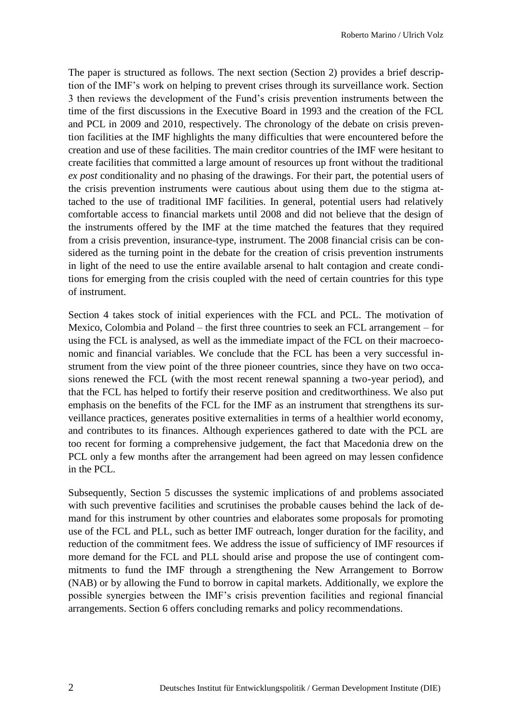The paper is structured as follows. The next section (Section 2) provides a brief description of the IMF's work on helping to prevent crises through its surveillance work. Section 3 then reviews the development of the Fund's crisis prevention instruments between the time of the first discussions in the Executive Board in 1993 and the creation of the FCL and PCL in 2009 and 2010, respectively. The chronology of the debate on crisis prevention facilities at the IMF highlights the many difficulties that were encountered before the creation and use of these facilities. The main creditor countries of the IMF were hesitant to create facilities that committed a large amount of resources up front without the traditional *ex post* conditionality and no phasing of the drawings. For their part, the potential users of the crisis prevention instruments were cautious about using them due to the stigma attached to the use of traditional IMF facilities. In general, potential users had relatively comfortable access to financial markets until 2008 and did not believe that the design of the instruments offered by the IMF at the time matched the features that they required from a crisis prevention, insurance-type, instrument. The 2008 financial crisis can be considered as the turning point in the debate for the creation of crisis prevention instruments in light of the need to use the entire available arsenal to halt contagion and create conditions for emerging from the crisis coupled with the need of certain countries for this type of instrument.

Section 4 takes stock of initial experiences with the FCL and PCL. The motivation of Mexico, Colombia and Poland – the first three countries to seek an FCL arrangement – for using the FCL is analysed, as well as the immediate impact of the FCL on their macroeconomic and financial variables. We conclude that the FCL has been a very successful instrument from the view point of the three pioneer countries, since they have on two occasions renewed the FCL (with the most recent renewal spanning a two-year period), and that the FCL has helped to fortify their reserve position and creditworthiness. We also put emphasis on the benefits of the FCL for the IMF as an instrument that strengthens its surveillance practices, generates positive externalities in terms of a healthier world economy, and contributes to its finances. Although experiences gathered to date with the PCL are too recent for forming a comprehensive judgement, the fact that Macedonia drew on the PCL only a few months after the arrangement had been agreed on may lessen confidence in the PCL.

Subsequently, Section 5 discusses the systemic implications of and problems associated with such preventive facilities and scrutinises the probable causes behind the lack of demand for this instrument by other countries and elaborates some proposals for promoting use of the FCL and PLL, such as better IMF outreach, longer duration for the facility, and reduction of the commitment fees. We address the issue of sufficiency of IMF resources if more demand for the FCL and PLL should arise and propose the use of contingent commitments to fund the IMF through a strengthening the New Arrangement to Borrow (NAB) or by allowing the Fund to borrow in capital markets. Additionally, we explore the possible synergies between the IMF's crisis prevention facilities and regional financial arrangements. Section 6 offers concluding remarks and policy recommendations.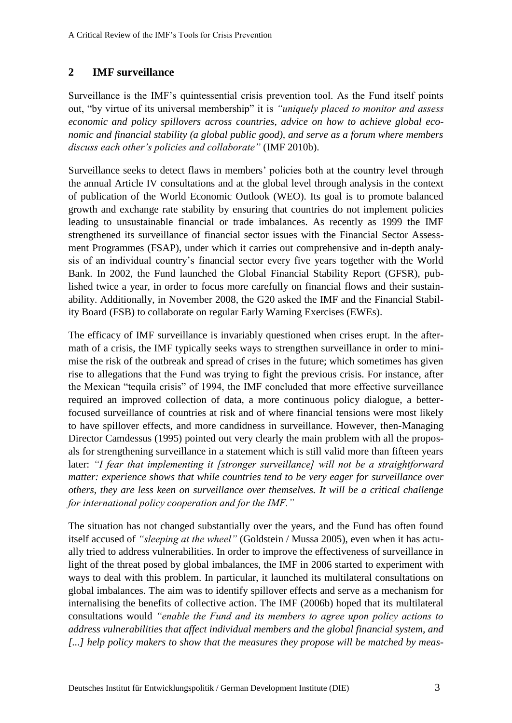# **2 IMF surveillance**

Surveillance is the IMF's quintessential crisis prevention tool. As the Fund itself points out, "by virtue of its universal membership" it is *"uniquely placed to monitor and assess economic and policy spillovers across countries, advice on how to achieve global economic and financial stability (a global public good), and serve as a forum where members discuss each other's policies and collaborate"* (IMF 2010b).

Surveillance seeks to detect flaws in members' policies both at the country level through the annual Article IV consultations and at the global level through analysis in the context of publication of the World Economic Outlook (WEO). Its goal is to promote balanced growth and exchange rate stability by ensuring that countries do not implement policies leading to unsustainable financial or trade imbalances. As recently as 1999 the IMF strengthened its surveillance of financial sector issues with the Financial Sector Assessment Programmes (FSAP), under which it carries out comprehensive and in-depth analysis of an individual country's financial sector every five years together with the World Bank. In 2002, the Fund launched the Global Financial Stability Report (GFSR), published twice a year, in order to focus more carefully on financial flows and their sustainability. Additionally, in November 2008, the G20 asked the IMF and the Financial Stability Board (FSB) to collaborate on regular Early Warning Exercises (EWEs).

The efficacy of IMF surveillance is invariably questioned when crises erupt. In the aftermath of a crisis, the IMF typically seeks ways to strengthen surveillance in order to minimise the risk of the outbreak and spread of crises in the future; which sometimes has given rise to allegations that the Fund was trying to fight the previous crisis. For instance, after the Mexican "tequila crisis" of 1994, the IMF concluded that more effective surveillance required an improved collection of data, a more continuous policy dialogue, a betterfocused surveillance of countries at risk and of where financial tensions were most likely to have spillover effects, and more candidness in surveillance. However, then-Managing Director Camdessus (1995) pointed out very clearly the main problem with all the proposals for strengthening surveillance in a statement which is still valid more than fifteen years later: "I fear that implementing it [stronger surveillance] will not be a straightforward *matter: experience shows that while countries tend to be very eager for surveillance over others, they are less keen on surveillance over themselves. It will be a critical challenge for international policy cooperation and for the IMF."*

The situation has not changed substantially over the years, and the Fund has often found itself accused of *"sleeping at the wheel"* (Goldstein / Mussa 2005), even when it has actually tried to address vulnerabilities. In order to improve the effectiveness of surveillance in light of the threat posed by global imbalances, the IMF in 2006 started to experiment with ways to deal with this problem. In particular, it launched its multilateral consultations on global imbalances. The aim was to identify spillover effects and serve as a mechanism for internalising the benefits of collective action. The IMF (2006b) hoped that its multilateral consultations would *"enable the Fund and its members to agree upon policy actions to address vulnerabilities that affect individual members and the global financial system, and [...] help policy makers to show that the measures they propose will be matched by meas-*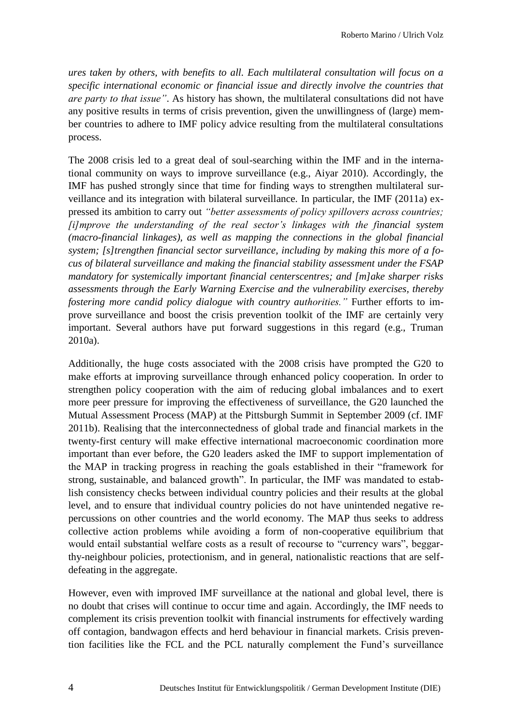*ures taken by others, with benefits to all. Each multilateral consultation will focus on a specific international economic or financial issue and directly involve the countries that are party to that issue"*. As history has shown, the multilateral consultations did not have any positive results in terms of crisis prevention, given the unwillingness of (large) member countries to adhere to IMF policy advice resulting from the multilateral consultations process.

The 2008 crisis led to a great deal of soul-searching within the IMF and in the international community on ways to improve surveillance (e.g., Aiyar 2010). Accordingly, the IMF has pushed strongly since that time for finding ways to strengthen multilateral surveillance and its integration with bilateral surveillance. In particular, the IMF (2011a) expressed its ambition to carry out *"better assessments of policy spillovers across countries; [i]mprove the understanding of the real sector's linkages with the financial system (macro-financial linkages), as well as mapping the connections in the global financial system; [s]trengthen financial sector surveillance, including by making this more of a focus of bilateral surveillance and making the financial stability assessment under the FSAP mandatory for systemically important financial centerscentres; and [m]ake sharper risks assessments through the Early Warning Exercise and the vulnerability exercises, thereby fostering more candid policy dialogue with country authorities."* Further efforts to improve surveillance and boost the crisis prevention toolkit of the IMF are certainly very important. Several authors have put forward suggestions in this regard (e.g., Truman 2010a).

Additionally, the huge costs associated with the 2008 crisis have prompted the G20 to make efforts at improving surveillance through enhanced policy cooperation. In order to strengthen policy cooperation with the aim of reducing global imbalances and to exert more peer pressure for improving the effectiveness of surveillance, the G20 launched the Mutual Assessment Process (MAP) at the Pittsburgh Summit in September 2009 (cf. IMF 2011b). Realising that the interconnectedness of global trade and financial markets in the twenty-first century will make effective international macroeconomic coordination more important than ever before, the G20 leaders asked the IMF to support implementation of the MAP in tracking progress in reaching the goals established in their "framework for strong, sustainable, and balanced growth". In particular, the IMF was mandated to establish consistency checks between individual country policies and their results at the global level, and to ensure that individual country policies do not have unintended negative repercussions on other countries and the world economy. The MAP thus seeks to address collective action problems while avoiding a form of non-cooperative equilibrium that would entail substantial welfare costs as a result of recourse to "currency wars", beggarthy-neighbour policies, protectionism, and in general, nationalistic reactions that are selfdefeating in the aggregate.

However, even with improved IMF surveillance at the national and global level, there is no doubt that crises will continue to occur time and again. Accordingly, the IMF needs to complement its crisis prevention toolkit with financial instruments for effectively warding off contagion, bandwagon effects and herd behaviour in financial markets. Crisis prevention facilities like the FCL and the PCL naturally complement the Fund's surveillance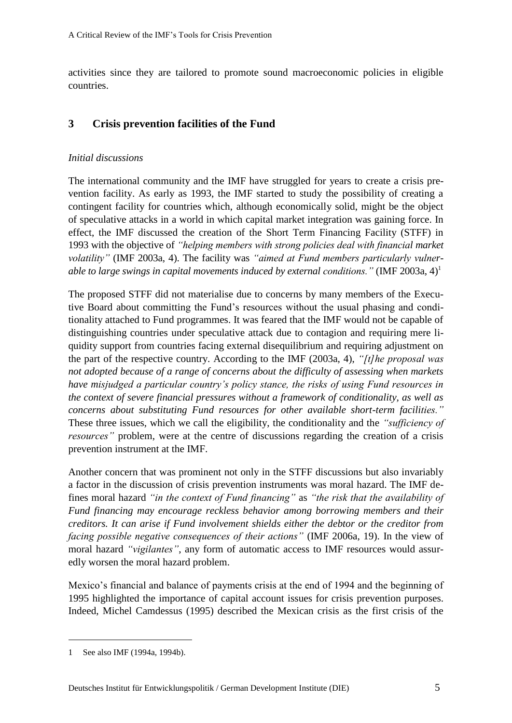activities since they are tailored to promote sound macroeconomic policies in eligible countries.

# **3 Crisis prevention facilities of the Fund**

# *Initial discussions*

The international community and the IMF have struggled for years to create a crisis prevention facility. As early as 1993, the IMF started to study the possibility of creating a contingent facility for countries which, although economically solid, might be the object of speculative attacks in a world in which capital market integration was gaining force. In effect, the IMF discussed the creation of the Short Term Financing Facility (STFF) in 1993 with the objective of *"helping members with strong policies deal with financial market volatility"* (IMF 2003a, 4). The facility was *"aimed at Fund members particularly vulnerable to large swings in capital movements induced by external conditions."* (IMF 2003a, 4)<sup>1</sup>

The proposed STFF did not materialise due to concerns by many members of the Executive Board about committing the Fund's resources without the usual phasing and conditionality attached to Fund programmes. It was feared that the IMF would not be capable of distinguishing countries under speculative attack due to contagion and requiring mere liquidity support from countries facing external disequilibrium and requiring adjustment on the part of the respective country. According to the IMF (2003a, 4), *"[t]he proposal was not adopted because of a range of concerns about the difficulty of assessing when markets have misjudged a particular country's policy stance, the risks of using Fund resources in the context of severe financial pressures without a framework of conditionality, as well as concerns about substituting Fund resources for other available short-term facilities."* These three issues, which we call the eligibility, the conditionality and the *"sufficiency of resources"* problem, were at the centre of discussions regarding the creation of a crisis prevention instrument at the IMF.

Another concern that was prominent not only in the STFF discussions but also invariably a factor in the discussion of crisis prevention instruments was moral hazard. The IMF defines moral hazard *"in the context of Fund financing"* as *"the risk that the availability of Fund financing may encourage reckless behavior among borrowing members and their creditors. It can arise if Fund involvement shields either the debtor or the creditor from facing possible negative consequences of their actions"* (IMF 2006a, 19). In the view of moral hazard *"vigilantes"*, any form of automatic access to IMF resources would assuredly worsen the moral hazard problem.

Mexico's financial and balance of payments crisis at the end of 1994 and the beginning of 1995 highlighted the importance of capital account issues for crisis prevention purposes. Indeed, Michel Camdessus (1995) described the Mexican crisis as the first crisis of the

<sup>1</sup> See also IMF (1994a, 1994b).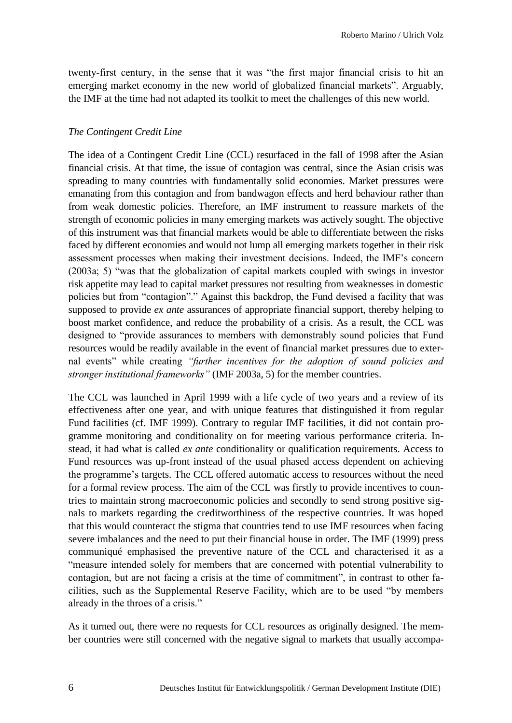twenty-first century, in the sense that it was "the first major financial crisis to hit an emerging market economy in the new world of globalized financial markets". Arguably, the IMF at the time had not adapted its toolkit to meet the challenges of this new world.

#### *The Contingent Credit Line*

The idea of a Contingent Credit Line (CCL) resurfaced in the fall of 1998 after the Asian financial crisis. At that time, the issue of contagion was central, since the Asian crisis was spreading to many countries with fundamentally solid economies. Market pressures were emanating from this contagion and from bandwagon effects and herd behaviour rather than from weak domestic policies. Therefore, an IMF instrument to reassure markets of the strength of economic policies in many emerging markets was actively sought. The objective of this instrument was that financial markets would be able to differentiate between the risks faced by different economies and would not lump all emerging markets together in their risk assessment processes when making their investment decisions. Indeed, the IMF's concern (2003a; 5) "was that the globalization of capital markets coupled with swings in investor risk appetite may lead to capital market pressures not resulting from weaknesses in domestic policies but from "contagion"." Against this backdrop, the Fund devised a facility that was supposed to provide *ex ante* assurances of appropriate financial support, thereby helping to boost market confidence, and reduce the probability of a crisis. As a result, the CCL was designed to "provide assurances to members with demonstrably sound policies that Fund resources would be readily available in the event of financial market pressures due to external events" while creating *"further incentives for the adoption of sound policies and stronger institutional frameworks"* (IMF 2003a, 5) for the member countries.

The CCL was launched in April 1999 with a life cycle of two years and a review of its effectiveness after one year, and with unique features that distinguished it from regular Fund facilities (cf. IMF 1999). Contrary to regular IMF facilities, it did not contain programme monitoring and conditionality on for meeting various performance criteria. Instead, it had what is called *ex ante* conditionality or qualification requirements. Access to Fund resources was up-front instead of the usual phased access dependent on achieving the programme's targets. The CCL offered automatic access to resources without the need for a formal review process. The aim of the CCL was firstly to provide incentives to countries to maintain strong macroeconomic policies and secondly to send strong positive signals to markets regarding the creditworthiness of the respective countries. It was hoped that this would counteract the stigma that countries tend to use IMF resources when facing severe imbalances and the need to put their financial house in order. The IMF (1999) press communiqué emphasised the preventive nature of the CCL and characterised it as a "measure intended solely for members that are concerned with potential vulnerability to contagion, but are not facing a crisis at the time of commitment", in contrast to other facilities, such as the Supplemental Reserve Facility, which are to be used "by members already in the throes of a crisis."

As it turned out, there were no requests for CCL resources as originally designed. The member countries were still concerned with the negative signal to markets that usually accompa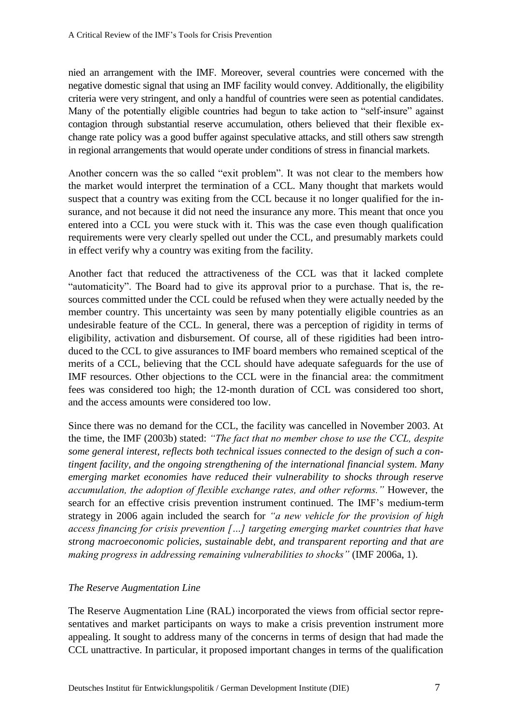nied an arrangement with the IMF. Moreover, several countries were concerned with the negative domestic signal that using an IMF facility would convey. Additionally, the eligibility criteria were very stringent, and only a handful of countries were seen as potential candidates. Many of the potentially eligible countries had begun to take action to "self-insure" against contagion through substantial reserve accumulation, others believed that their flexible exchange rate policy was a good buffer against speculative attacks, and still others saw strength in regional arrangements that would operate under conditions of stress in financial markets.

Another concern was the so called "exit problem". It was not clear to the members how the market would interpret the termination of a CCL. Many thought that markets would suspect that a country was exiting from the CCL because it no longer qualified for the insurance, and not because it did not need the insurance any more. This meant that once you entered into a CCL you were stuck with it. This was the case even though qualification requirements were very clearly spelled out under the CCL, and presumably markets could in effect verify why a country was exiting from the facility.

Another fact that reduced the attractiveness of the CCL was that it lacked complete "automaticity". The Board had to give its approval prior to a purchase. That is, the resources committed under the CCL could be refused when they were actually needed by the member country. This uncertainty was seen by many potentially eligible countries as an undesirable feature of the CCL. In general, there was a perception of rigidity in terms of eligibility, activation and disbursement. Of course, all of these rigidities had been introduced to the CCL to give assurances to IMF board members who remained sceptical of the merits of a CCL, believing that the CCL should have adequate safeguards for the use of IMF resources. Other objections to the CCL were in the financial area: the commitment fees was considered too high; the 12-month duration of CCL was considered too short, and the access amounts were considered too low.

Since there was no demand for the CCL, the facility was cancelled in November 2003. At the time, the IMF (2003b) stated: *"The fact that no member chose to use the CCL, despite some general interest, reflects both technical issues connected to the design of such a contingent facility, and the ongoing strengthening of the international financial system. Many emerging market economies have reduced their vulnerability to shocks through reserve accumulation, the adoption of flexible exchange rates, and other reforms."* However, the search for an effective crisis prevention instrument continued. The IMF's medium-term strategy in 2006 again included the search for *"a new vehicle for the provision of high access financing for crisis prevention […] targeting emerging market countries that have strong macroeconomic policies, sustainable debt, and transparent reporting and that are making progress in addressing remaining vulnerabilities to shocks"* (IMF 2006a, 1).

## *The Reserve Augmentation Line*

The Reserve Augmentation Line (RAL) incorporated the views from official sector representatives and market participants on ways to make a crisis prevention instrument more appealing. It sought to address many of the concerns in terms of design that had made the CCL unattractive. In particular, it proposed important changes in terms of the qualification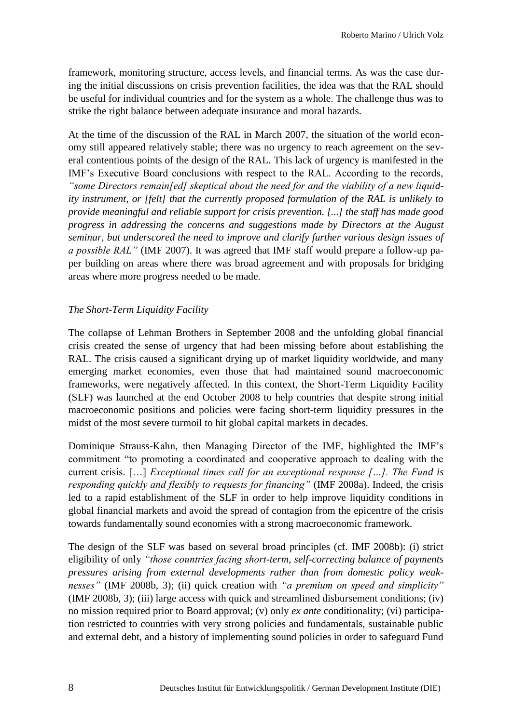framework, monitoring structure, access levels, and financial terms. As was the case during the initial discussions on crisis prevention facilities, the idea was that the RAL should be useful for individual countries and for the system as a whole. The challenge thus was to strike the right balance between adequate insurance and moral hazards.

At the time of the discussion of the RAL in March 2007, the situation of the world economy still appeared relatively stable; there was no urgency to reach agreement on the several contentious points of the design of the RAL. This lack of urgency is manifested in the IMF's Executive Board conclusions with respect to the RAL. According to the records, *"some Directors remain[ed] skeptical about the need for and the viability of a new liquidity instrument, or [felt] that the currently proposed formulation of the RAL is unlikely to provide meaningful and reliable support for crisis prevention. [...] the staff has made good progress in addressing the concerns and suggestions made by Directors at the August seminar, but underscored the need to improve and clarify further various design issues of a possible RAL"* (IMF 2007). It was agreed that IMF staff would prepare a follow-up paper building on areas where there was broad agreement and with proposals for bridging areas where more progress needed to be made.

## *The Short-Term Liquidity Facility*

The collapse of Lehman Brothers in September 2008 and the unfolding global financial crisis created the sense of urgency that had been missing before about establishing the RAL. The crisis caused a significant drying up of market liquidity worldwide, and many emerging market economies, even those that had maintained sound macroeconomic frameworks, were negatively affected. In this context, the Short-Term Liquidity Facility (SLF) was launched at the end October 2008 to help countries that despite strong initial macroeconomic positions and policies were facing short-term liquidity pressures in the midst of the most severe turmoil to hit global capital markets in decades.

Dominique Strauss-Kahn, then Managing Director of the IMF, highlighted the IMF's commitment "to promoting a coordinated and cooperative approach to dealing with the current crisis. […] *Exceptional times call for an exceptional response […]. The Fund is responding quickly and flexibly to requests for financing"* (IMF 2008a). Indeed, the crisis led to a rapid establishment of the SLF in order to help improve liquidity conditions in global financial markets and avoid the spread of contagion from the epicentre of the crisis towards fundamentally sound economies with a strong macroeconomic framework.

The design of the SLF was based on several broad principles (cf. IMF 2008b): (i) strict eligibility of only *"those countries facing short-term, self-correcting balance of payments pressures arising from external developments rather than from domestic policy weaknesses"* (IMF 2008b, 3); (ii) quick creation with *"a premium on speed and simplicity"* (IMF 2008b, 3); (iii) large access with quick and streamlined disbursement conditions; (iv) no mission required prior to Board approval; (v) only *ex ante* conditionality; (vi) participation restricted to countries with very strong policies and fundamentals, sustainable public and external debt, and a history of implementing sound policies in order to safeguard Fund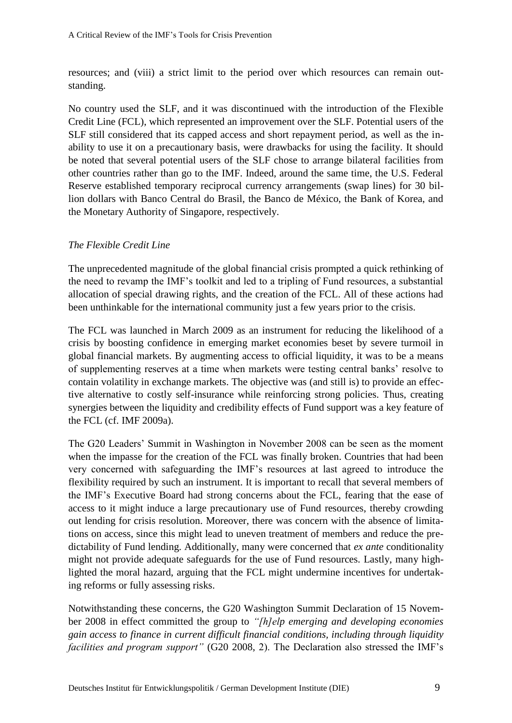resources; and (viii) a strict limit to the period over which resources can remain outstanding.

No country used the SLF, and it was discontinued with the introduction of the Flexible Credit Line (FCL), which represented an improvement over the SLF. Potential users of the SLF still considered that its capped access and short repayment period, as well as the inability to use it on a precautionary basis, were drawbacks for using the facility. It should be noted that several potential users of the SLF chose to arrange bilateral facilities from other countries rather than go to the IMF. Indeed, around the same time, the U.S. Federal Reserve established temporary reciprocal currency arrangements (swap lines) for 30 billion dollars with Banco Central do Brasil, the Banco de México, the Bank of Korea, and the Monetary Authority of Singapore, respectively.

## *The Flexible Credit Line*

The unprecedented magnitude of the global financial crisis prompted a quick rethinking of the need to revamp the IMF's toolkit and led to a tripling of Fund resources, a substantial allocation of special drawing rights, and the creation of the FCL. All of these actions had been unthinkable for the international community just a few years prior to the crisis.

The FCL was launched in March 2009 as an instrument for reducing the likelihood of a crisis by boosting confidence in emerging market economies beset by severe turmoil in global financial markets. By augmenting access to official liquidity, it was to be a means of supplementing reserves at a time when markets were testing central banks' resolve to contain volatility in exchange markets. The objective was (and still is) to provide an effective alternative to costly self-insurance while reinforcing strong policies. Thus, creating synergies between the liquidity and credibility effects of Fund support was a key feature of the FCL (cf. IMF 2009a).

The G20 Leaders' Summit in Washington in November 2008 can be seen as the moment when the impasse for the creation of the FCL was finally broken. Countries that had been very concerned with safeguarding the IMF's resources at last agreed to introduce the flexibility required by such an instrument. It is important to recall that several members of the IMF's Executive Board had strong concerns about the FCL, fearing that the ease of access to it might induce a large precautionary use of Fund resources, thereby crowding out lending for crisis resolution. Moreover, there was concern with the absence of limitations on access, since this might lead to uneven treatment of members and reduce the predictability of Fund lending. Additionally, many were concerned that *ex ante* conditionality might not provide adequate safeguards for the use of Fund resources. Lastly, many highlighted the moral hazard, arguing that the FCL might undermine incentives for undertaking reforms or fully assessing risks.

Notwithstanding these concerns, the G20 Washington Summit Declaration of 15 November 2008 in effect committed the group to *"[h]elp emerging and developing economies gain access to finance in current difficult financial conditions, including through liquidity facilities and program support"* (G20 2008, 2). The Declaration also stressed the IMF's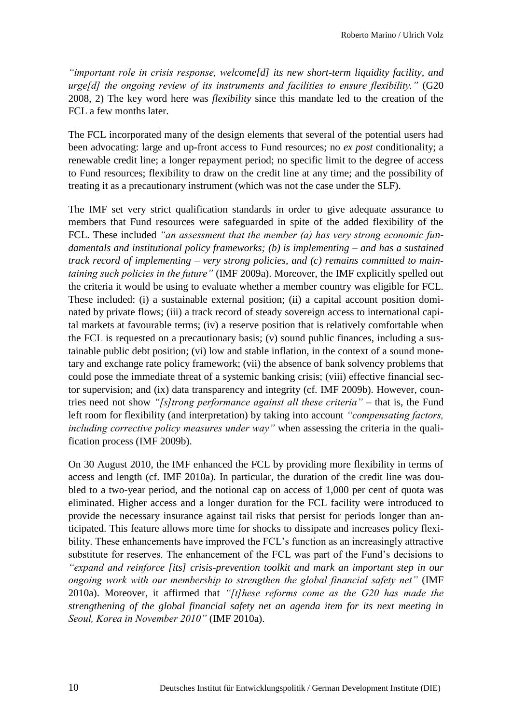*"important role in crisis response, welcome[d] its new short-term liquidity facility, and urge[d] the ongoing review of its instruments and facilities to ensure flexibility."* (G20 2008, 2) The key word here was *flexibility* since this mandate led to the creation of the FCL a few months later.

The FCL incorporated many of the design elements that several of the potential users had been advocating: large and up-front access to Fund resources; no *ex post* conditionality; a renewable credit line; a longer repayment period; no specific limit to the degree of access to Fund resources; flexibility to draw on the credit line at any time; and the possibility of treating it as a precautionary instrument (which was not the case under the SLF).

The IMF set very strict qualification standards in order to give adequate assurance to members that Fund resources were safeguarded in spite of the added flexibility of the FCL. These included *"an assessment that the member (a) has very strong economic fundamentals and institutional policy frameworks; (b) is implementing – and has a sustained track record of implementing – very strong policies, and (c) remains committed to maintaining such policies in the future"* (IMF 2009a). Moreover, the IMF explicitly spelled out the criteria it would be using to evaluate whether a member country was eligible for FCL. These included: (i) a sustainable external position; (ii) a capital account position dominated by private flows; (iii) a track record of steady sovereign access to international capital markets at favourable terms; (iv) a reserve position that is relatively comfortable when the FCL is requested on a precautionary basis; (v) sound public finances, including a sustainable public debt position; (vi) low and stable inflation, in the context of a sound monetary and exchange rate policy framework; (vii) the absence of bank solvency problems that could pose the immediate threat of a systemic banking crisis; (viii) effective financial sector supervision; and (ix) data transparency and integrity (cf. IMF 2009b). However, countries need not show *"[s]trong performance against all these criteria"* – that is, the Fund left room for flexibility (and interpretation) by taking into account *"compensating factors, including corrective policy measures under way"* when assessing the criteria in the qualification process (IMF 2009b).

On 30 August 2010, the IMF enhanced the FCL by providing more flexibility in terms of access and length (cf. IMF 2010a). In particular, the duration of the credit line was doubled to a two-year period, and the notional cap on access of 1,000 per cent of quota was eliminated. Higher access and a longer duration for the FCL facility were introduced to provide the necessary insurance against tail risks that persist for periods longer than anticipated. This feature allows more time for shocks to dissipate and increases policy flexibility. These enhancements have improved the FCL's function as an increasingly attractive substitute for reserves. The enhancement of the FCL was part of the Fund's decisions to *"expand and reinforce [its] crisis-prevention toolkit and mark an important step in our ongoing work with our membership to strengthen the global financial safety net"* (IMF 2010a). Moreover, it affirmed that *"[t]hese reforms come as the G20 has made the strengthening of the global financial safety net an agenda item for its next meeting in Seoul, Korea in November 2010"* (IMF 2010a).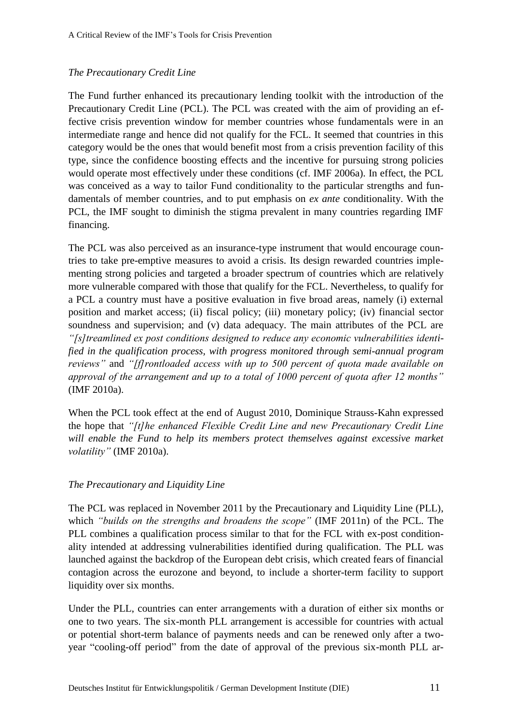# *The Precautionary Credit Line*

The Fund further enhanced its precautionary lending toolkit with the introduction of the Precautionary Credit Line (PCL). The PCL was created with the aim of providing an effective crisis prevention window for member countries whose fundamentals were in an intermediate range and hence did not qualify for the FCL. It seemed that countries in this category would be the ones that would benefit most from a crisis prevention facility of this type, since the confidence boosting effects and the incentive for pursuing strong policies would operate most effectively under these conditions (cf. IMF 2006a). In effect, the PCL was conceived as a way to tailor Fund conditionality to the particular strengths and fundamentals of member countries, and to put emphasis on *ex ante* conditionality. With the PCL, the IMF sought to diminish the stigma prevalent in many countries regarding IMF financing.

The PCL was also perceived as an insurance-type instrument that would encourage countries to take pre-emptive measures to avoid a crisis. Its design rewarded countries implementing strong policies and targeted a broader spectrum of countries which are relatively more vulnerable compared with those that qualify for the FCL. Nevertheless, to qualify for a PCL a country must have a positive evaluation in five broad areas, namely (i) external position and market access; (ii) fiscal policy; (iii) monetary policy; (iv) financial sector soundness and supervision; and (v) data adequacy. The main attributes of the PCL are *"[s]treamlined ex post conditions designed to reduce any economic vulnerabilities identified in the qualification process, with progress monitored through semi-annual program reviews"* and *"[f]rontloaded access with up to 500 percent of quota made available on approval of the arrangement and up to a total of 1000 percent of quota after 12 months"*  (IMF 2010a).

When the PCL took effect at the end of August 2010, Dominique Strauss-Kahn expressed the hope that *"[t]he enhanced Flexible Credit Line and new Precautionary Credit Line*  will enable the Fund to help its members protect themselves against excessive market *volatility"* (IMF 2010a).

## *The Precautionary and Liquidity Line*

The PCL was replaced in November 2011 by the Precautionary and Liquidity Line (PLL), which *"builds on the strengths and broadens the scope"* (IMF 2011n) of the PCL. The PLL combines a qualification process similar to that for the FCL with ex-post conditionality intended at addressing vulnerabilities identified during qualification. The PLL was launched against the backdrop of the European debt crisis, which created fears of financial contagion across the eurozone and beyond, to include a shorter-term facility to support liquidity over six months.

Under the PLL, countries can enter arrangements with a duration of either six months or one to two years. The six-month PLL arrangement is accessible for countries with actual or potential short-term balance of payments needs and can be renewed only after a twoyear "cooling-off period" from the date of approval of the previous six-month PLL ar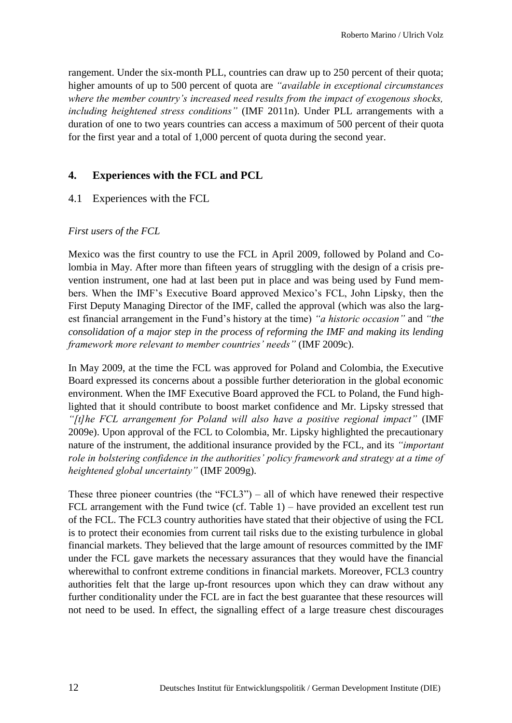rangement. Under the six-month PLL, countries can draw up to 250 percent of their quota; higher amounts of up to 500 percent of quota are *"available in exceptional circumstances where the member country's increased need results from the impact of exogenous shocks, including heightened stress conditions"* (IMF 2011n). Under PLL arrangements with a duration of one to two years countries can access a maximum of 500 percent of their quota for the first year and a total of 1,000 percent of quota during the second year.

# **4. Experiences with the FCL and PCL**

# 4.1 Experiences with the FCL

#### *First users of the FCL*

Mexico was the first country to use the FCL in April 2009, followed by Poland and Colombia in May. After more than fifteen years of struggling with the design of a crisis prevention instrument, one had at last been put in place and was being used by Fund members. When the IMF's Executive Board approved Mexico's FCL, John Lipsky, then the First Deputy Managing Director of the IMF, called the approval (which was also the largest financial arrangement in the Fund's history at the time) *"a historic occasion"* and *"the consolidation of a major step in the process of reforming the IMF and making its lending framework more relevant to member countries' needs"* (IMF 2009c).

In May 2009, at the time the FCL was approved for Poland and Colombia, the Executive Board expressed its concerns about a possible further deterioration in the global economic environment. When the IMF Executive Board approved the FCL to Poland, the Fund highlighted that it should contribute to boost market confidence and Mr. Lipsky stressed that *"[t]he FCL arrangement for Poland will also have a positive regional impact"* (IMF 2009e). Upon approval of the FCL to Colombia, Mr. Lipsky highlighted the precautionary nature of the instrument, the additional insurance provided by the FCL, and its *"important role in bolstering confidence in the authorities' policy framework and strategy at a time of heightened global uncertainty"* (IMF 2009g).

These three pioneer countries (the "FCL3") – all of which have renewed their respective FCL arrangement with the Fund twice (cf. Table 1) – have provided an excellent test run of the FCL. The FCL3 country authorities have stated that their objective of using the FCL is to protect their economies from current tail risks due to the existing turbulence in global financial markets. They believed that the large amount of resources committed by the IMF under the FCL gave markets the necessary assurances that they would have the financial wherewithal to confront extreme conditions in financial markets. Moreover, FCL3 country authorities felt that the large up-front resources upon which they can draw without any further conditionality under the FCL are in fact the best guarantee that these resources will not need to be used. In effect, the signalling effect of a large treasure chest discourages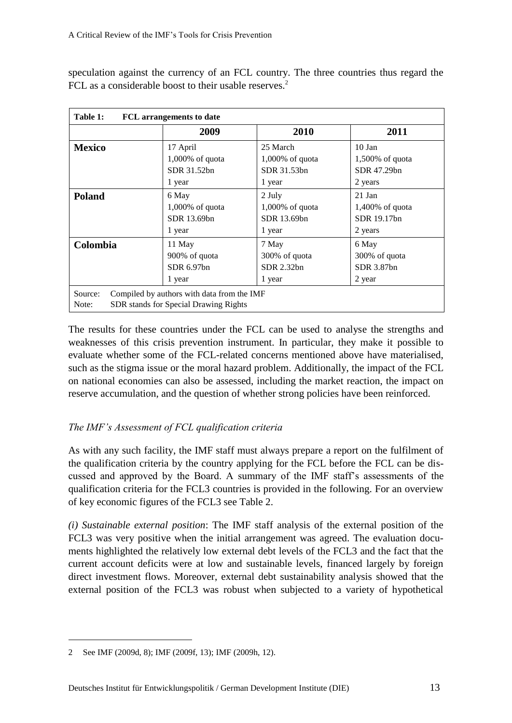speculation against the currency of an FCL country. The three countries thus regard the FCL as a considerable boost to their usable reserves.<sup>2</sup>

| Table 1:<br><b>FCL</b> arrangements to date                                                             |                    |                    |                    |  |  |
|---------------------------------------------------------------------------------------------------------|--------------------|--------------------|--------------------|--|--|
|                                                                                                         | 2009               | 2010               | 2011               |  |  |
| <b>Mexico</b>                                                                                           | 17 April           | 25 March           | $10$ Jan           |  |  |
|                                                                                                         | $1,000\%$ of quota | $1,000\%$ of quota | $1,500\%$ of quota |  |  |
|                                                                                                         | SDR 31.52bn        | SDR 31.53bn        | SDR 47.29bn        |  |  |
|                                                                                                         | 1 year             | 1 year             | 2 years            |  |  |
| <b>Poland</b>                                                                                           | 6 May              | 2 July             | $21$ Jan           |  |  |
|                                                                                                         | $1,000\%$ of quota | $1,000\%$ of quota | $1,400\%$ of quota |  |  |
|                                                                                                         | SDR 13.69bn        | SDR 13.69bn        | SDR 19.17bn        |  |  |
|                                                                                                         | 1 year             | 1 year             | 2 years            |  |  |
| Colombia                                                                                                | 11 May             | 7 May              | 6 May              |  |  |
|                                                                                                         | 900% of quota      | 300% of quota      | 300% of quota      |  |  |
|                                                                                                         | SDR 6.97bn         | SDR 2.32bn         | SDR 3.87bn         |  |  |
|                                                                                                         | 1 year             | 1 year             | 2 year             |  |  |
| Compiled by authors with data from the IMF<br>Source:<br>SDR stands for Special Drawing Rights<br>Note: |                    |                    |                    |  |  |

The results for these countries under the FCL can be used to analyse the strengths and weaknesses of this crisis prevention instrument. In particular, they make it possible to evaluate whether some of the FCL-related concerns mentioned above have materialised, such as the stigma issue or the moral hazard problem. Additionally, the impact of the FCL on national economies can also be assessed, including the market reaction, the impact on reserve accumulation, and the question of whether strong policies have been reinforced.

# *The IMF's Assessment of FCL qualification criteria*

As with any such facility, the IMF staff must always prepare a report on the fulfilment of the qualification criteria by the country applying for the FCL before the FCL can be discussed and approved by the Board. A summary of the IMF staff's assessments of the qualification criteria for the FCL3 countries is provided in the following. For an overview of key economic figures of the FCL3 see Table 2.

*(i) Sustainable external position*: The IMF staff analysis of the external position of the FCL3 was very positive when the initial arrangement was agreed. The evaluation documents highlighted the relatively low external debt levels of the FCL3 and the fact that the current account deficits were at low and sustainable levels, financed largely by foreign direct investment flows. Moreover, external debt sustainability analysis showed that the external position of the FCL3 was robust when subjected to a variety of hypothetical

<sup>2</sup> See IMF (2009d, 8); IMF (2009f, 13); IMF (2009h, 12).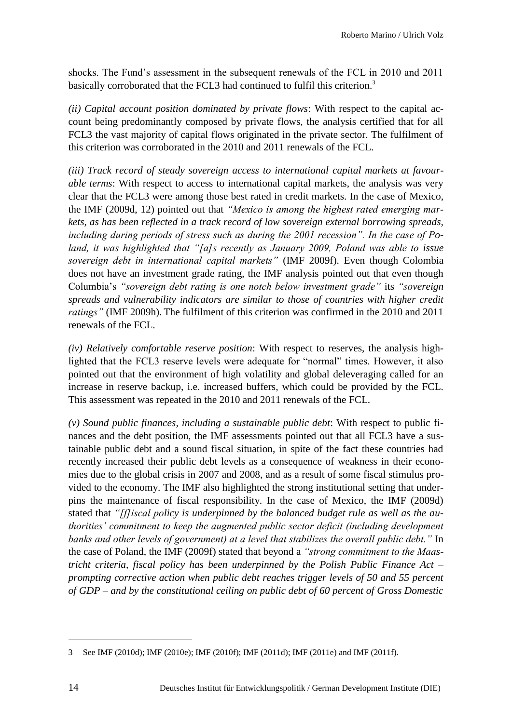shocks. The Fund's assessment in the subsequent renewals of the FCL in 2010 and 2011 basically corroborated that the FCL3 had continued to fulfil this criterion.<sup>3</sup>

*(ii) Capital account position dominated by private flows*: With respect to the capital account being predominantly composed by private flows, the analysis certified that for all FCL3 the vast majority of capital flows originated in the private sector. The fulfilment of this criterion was corroborated in the 2010 and 2011 renewals of the FCL.

*(iii) Track record of steady sovereign access to international capital markets at favourable terms*: With respect to access to international capital markets, the analysis was very clear that the FCL3 were among those best rated in credit markets. In the case of Mexico, the IMF (2009d, 12) pointed out that *"Mexico is among the highest rated emerging markets, as has been reflected in a track record of low sovereign external borrowing spreads, including during periods of stress such as during the 2001 recession". In the case of Poland, it was highlighted that "[a]s recently as January 2009, Poland was able to issue sovereign debt in international capital markets"* (IMF 2009f). Even though Colombia does not have an investment grade rating, the IMF analysis pointed out that even though Columbia's *"sovereign debt rating is one notch below investment grade"* its *"sovereign spreads and vulnerability indicators are similar to those of countries with higher credit ratings"* (IMF 2009h). The fulfilment of this criterion was confirmed in the 2010 and 2011 renewals of the FCL.

*(iv) Relatively comfortable reserve position*: With respect to reserves, the analysis highlighted that the FCL3 reserve levels were adequate for "normal" times. However, it also pointed out that the environment of high volatility and global deleveraging called for an increase in reserve backup, i.e. increased buffers, which could be provided by the FCL. This assessment was repeated in the 2010 and 2011 renewals of the FCL.

*(v) Sound public finances, including a sustainable public debt*: With respect to public finances and the debt position, the IMF assessments pointed out that all FCL3 have a sustainable public debt and a sound fiscal situation, in spite of the fact these countries had recently increased their public debt levels as a consequence of weakness in their economies due to the global crisis in 2007 and 2008, and as a result of some fiscal stimulus provided to the economy. The IMF also highlighted the strong institutional setting that underpins the maintenance of fiscal responsibility. In the case of Mexico, the IMF (2009d) stated that *"[f]iscal policy is underpinned by the balanced budget rule as well as the authorities' commitment to keep the augmented public sector deficit (including development banks and other levels of government) at a level that stabilizes the overall public debt."* In the case of Poland, the IMF (2009f) stated that beyond a *"strong commitment to the Maastricht criteria, fiscal policy has been underpinned by the Polish Public Finance Act – prompting corrective action when public debt reaches trigger levels of 50 and 55 percent of GDP – and by the constitutional ceiling on public debt of 60 percent of Gross Domestic* 

<sup>3</sup> See IMF (2010d); IMF (2010e); IMF (2010f); IMF (2011d); IMF (2011e) and IMF (2011f).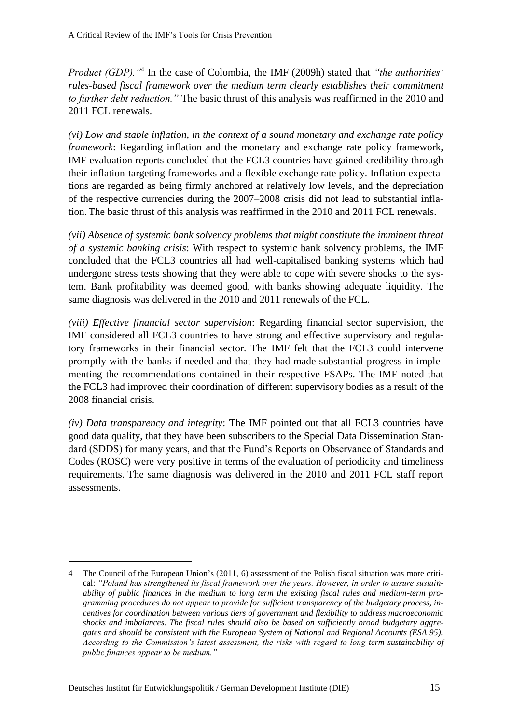*Product (GDP)."*<sup>4</sup> In the case of Colombia, the IMF (2009h) stated that *"the authorities' rules-based fiscal framework over the medium term clearly establishes their commitment to further debt reduction."* The basic thrust of this analysis was reaffirmed in the 2010 and 2011 FCL renewals.

*(vi) Low and stable inflation, in the context of a sound monetary and exchange rate policy framework*: Regarding inflation and the monetary and exchange rate policy framework, IMF evaluation reports concluded that the FCL3 countries have gained credibility through their inflation-targeting frameworks and a flexible exchange rate policy. Inflation expectations are regarded as being firmly anchored at relatively low levels, and the depreciation of the respective currencies during the 2007–2008 crisis did not lead to substantial inflation. The basic thrust of this analysis was reaffirmed in the 2010 and 2011 FCL renewals.

*(vii) Absence of systemic bank solvency problems that might constitute the imminent threat of a systemic banking crisis*: With respect to systemic bank solvency problems, the IMF concluded that the FCL3 countries all had well-capitalised banking systems which had undergone stress tests showing that they were able to cope with severe shocks to the system. Bank profitability was deemed good, with banks showing adequate liquidity. The same diagnosis was delivered in the 2010 and 2011 renewals of the FCL.

*(viii) Effective financial sector supervision*: Regarding financial sector supervision, the IMF considered all FCL3 countries to have strong and effective supervisory and regulatory frameworks in their financial sector. The IMF felt that the FCL3 could intervene promptly with the banks if needed and that they had made substantial progress in implementing the recommendations contained in their respective FSAPs. The IMF noted that the FCL3 had improved their coordination of different supervisory bodies as a result of the 2008 financial crisis.

*(iv) Data transparency and integrity*: The IMF pointed out that all FCL3 countries have good data quality, that they have been subscribers to the Special Data Dissemination Standard (SDDS) for many years, and that the Fund's Reports on Observance of Standards and Codes (ROSC) were very positive in terms of the evaluation of periodicity and timeliness requirements. The same diagnosis was delivered in the 2010 and 2011 FCL staff report assessments.

<sup>4</sup> The Council of the European Union's (2011, 6) assessment of the Polish fiscal situation was more critical: *"Poland has strengthened its fiscal framework over the years. However, in order to assure sustainability of public finances in the medium to long term the existing fiscal rules and medium-term programming procedures do not appear to provide for sufficient transparency of the budgetary process, incentives for coordination between various tiers of government and flexibility to address macroeconomic shocks and imbalances. The fiscal rules should also be based on sufficiently broad budgetary aggregates and should be consistent with the European System of National and Regional Accounts (ESA 95). According to the Commission's latest assessment, the risks with regard to long-term sustainability of public finances appear to be medium."*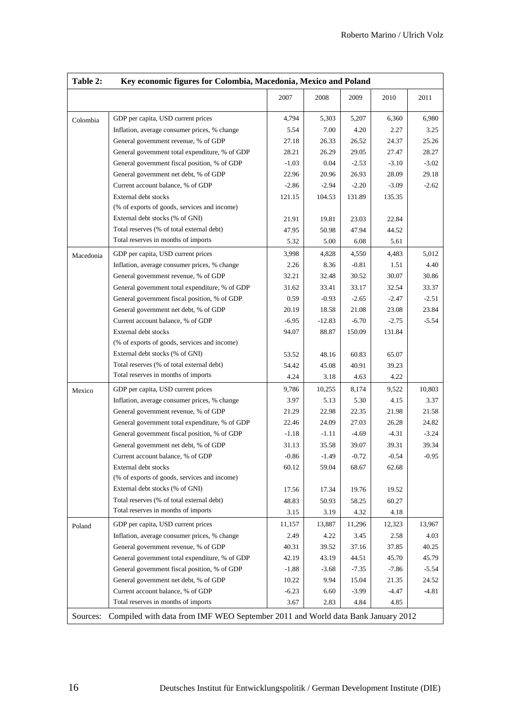| Table 2:  | Key economic figures for Colombia, Macedonia, Mexico and Poland                 |         |          |         |         |         |
|-----------|---------------------------------------------------------------------------------|---------|----------|---------|---------|---------|
|           |                                                                                 | 2007    | 2008     | 2009    | 2010    | 2011    |
| Colombia  | GDP per capita, USD current prices                                              | 4,794   | 5,303    | 5,207   | 6,360   | 6,980   |
|           | Inflation, average consumer prices, % change                                    | 5.54    | 7.00     | 4.20    | 2.27    | 3.25    |
|           | General government revenue, % of GDP                                            | 27.18   | 26.33    | 26.52   | 24.37   | 25.26   |
|           | General government total expenditure, % of GDP                                  | 28.21   | 26.29    | 29.05   | 27.47   | 28.27   |
|           | General government fiscal position, % of GDP                                    | $-1.03$ | 0.04     | $-2.53$ | $-3.10$ | $-3.02$ |
|           | General government net debt, % of GDP                                           | 22.96   | 20.96    | 26.93   | 28.09   | 29.18   |
|           | Current account balance, % of GDP                                               | $-2.86$ | $-2.94$  | $-2.20$ | $-3.09$ | $-2.62$ |
|           | External debt stocks                                                            | 121.15  | 104.53   | 131.89  | 135.35  |         |
|           | (% of exports of goods, services and income)                                    |         |          |         |         |         |
|           | External debt stocks (% of GNI)                                                 | 21.91   | 19.81    | 23.03   | 22.84   |         |
|           | Total reserves (% of total external debt)                                       | 47.95   | 50.98    | 47.94   | 44.52   |         |
|           | Total reserves in months of imports                                             | 5.32    | 5.00     | 6.08    | 5.61    |         |
| Macedonia | GDP per capita, USD current prices                                              | 3,998   | 4,828    | 4,550   | 4,483   | 5,012   |
|           | Inflation, average consumer prices, % change                                    | 2.26    | 8.36     | $-0.81$ | 1.51    | 4.40    |
|           | General government revenue, % of GDP                                            | 32.21   | 32.48    | 30.52   | 30.07   | 30.86   |
|           | General government total expenditure, % of GDP                                  | 31.62   | 33.41    | 33.17   | 32.54   | 33.37   |
|           | General government fiscal position, % of GDP                                    | 0.59    | $-0.93$  | $-2.65$ | $-2.47$ | $-2.51$ |
|           | General government net debt, % of GDP                                           | 20.19   | 18.58    | 21.08   | 23.08   | 23.84   |
|           | Current account balance, % of GDP                                               | $-6.95$ | $-12.83$ | $-6.70$ | $-2.75$ | $-5.54$ |
|           | External debt stocks                                                            | 94.07   | 88.87    | 150.09  | 131.84  |         |
|           | (% of exports of goods, services and income)                                    |         |          |         |         |         |
|           | External debt stocks (% of GNI)                                                 | 53.52   | 48.16    | 60.83   | 65.07   |         |
|           | Total reserves (% of total external debt)                                       | 54.42   | 45.08    | 40.91   | 39.23   |         |
|           | Total reserves in months of imports                                             | 4.24    | 3.18     | 4.63    | 4.22    |         |
| Mexico    | GDP per capita, USD current prices                                              | 9,786   | 10,255   | 8,174   | 9,522   | 10,803  |
|           | Inflation, average consumer prices, % change                                    | 3.97    | 5.13     | 5.30    | 4.15    | 3.37    |
|           | General government revenue, % of GDP                                            | 21.29   | 22.98    | 22.35   | 21.98   | 21.58   |
|           | General government total expenditure, % of GDP                                  | 22.46   | 24.09    | 27.03   | 26.28   | 24.82   |
|           | General government fiscal position, % of GDP                                    | $-1.18$ | $-1.11$  | $-4.69$ | $-4.31$ | $-3.24$ |
|           | General government net debt, % of GDP                                           | 31.13   | 35.58    | 39.07   | 39.31   | 39.34   |
|           | Current account balance, % of GDP                                               | $-0.86$ | $-1.49$  | $-0.72$ | $-0.54$ | $-0.95$ |
|           | External debt stocks                                                            | 60.12   | 59.04    | 68.67   | 62.68   |         |
|           | (% of exports of goods, services and income)                                    |         |          |         |         |         |
|           | External debt stocks (% of GNI)                                                 | 17.56   | 17.34    | 19.76   | 19.52   |         |
|           | Total reserves (% of total external debt)                                       | 48.83   | 50.93    | 58.25   | 60.27   |         |
|           | Total reserves in months of imports                                             | 3.15    | 3.19     | 4.32    | 4.18    |         |
| Poland    | GDP per capita, USD current prices                                              | 11,157  | 13,887   | 11,296  | 12,323  | 13,967  |
|           | Inflation, average consumer prices, % change                                    | 2.49    | 4.22     | 3.45    | 2.58    | 4.03    |
|           | General government revenue, % of GDP                                            | 40.31   | 39.52    | 37.16   | 37.85   | 40.25   |
|           | General government total expenditure, % of GDP                                  | 42.19   | 43.19    | 44.51   | 45.70   | 45.79   |
|           | General government fiscal position, % of GDP                                    | $-1.88$ | $-3.68$  | $-7.35$ | $-7.86$ | $-5.54$ |
|           | General government net debt, % of GDP                                           | 10.22   | 9.94     | 15.04   | 21.35   | 24.52   |
|           | Current account balance, % of GDP                                               | $-6.23$ | 6.60     | $-3.99$ | $-4.47$ | $-4.81$ |
|           | Total reserves in months of imports                                             | 3.67    | 2.83     | 4.84    | 4.85    |         |
| Sources:  | Compiled with data from IMF WEO September 2011 and World data Bank January 2012 |         |          |         |         |         |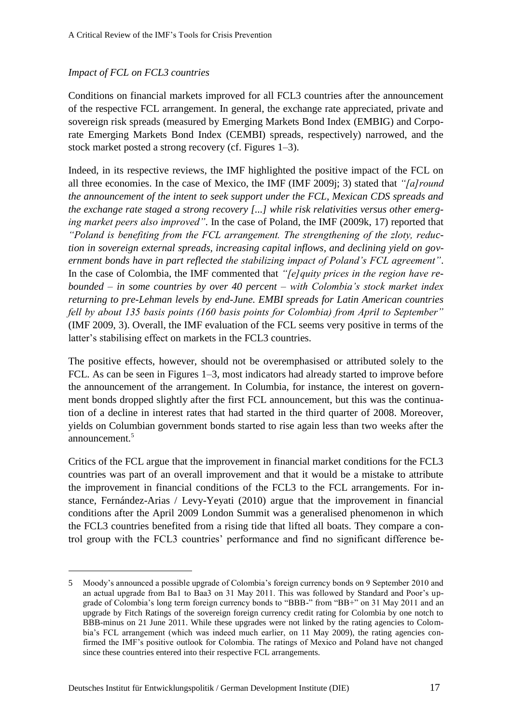# *Impact of FCL on FCL3 countries*

Conditions on financial markets improved for all FCL3 countries after the announcement of the respective FCL arrangement. In general, the exchange rate appreciated, private and sovereign risk spreads (measured by Emerging Markets Bond Index (EMBIG) and Corporate Emerging Markets Bond Index (CEMBI) spreads, respectively) narrowed, and the stock market posted a strong recovery (cf. Figures 1–3).

Indeed, in its respective reviews, the IMF highlighted the positive impact of the FCL on all three economies. In the case of Mexico, the IMF (IMF 2009j; 3) stated that *"[a]round the announcement of the intent to seek support under the FCL, Mexican CDS spreads and the exchange rate staged a strong recovery [...] while risk relativities versus other emerging market peers also improved"*. In the case of Poland, the IMF (2009k, 17) reported that *"Poland is benefiting from the FCL arrangement. The strengthening of the zloty, reduction in sovereign external spreads, increasing capital inflows, and declining yield on government bonds have in part reflected the stabilizing impact of Poland's FCL agreement"*. In the case of Colombia, the IMF commented that *"[e]quity prices in the region have rebounded – in some countries by over 40 percent – with Colombia's stock market index returning to pre-Lehman levels by end-June. EMBI spreads for Latin American countries fell by about 135 basis points (160 basis points for Colombia) from April to September"* (IMF 2009, 3). Overall, the IMF evaluation of the FCL seems very positive in terms of the latter's stabilising effect on markets in the FCL3 countries.

The positive effects, however, should not be overemphasised or attributed solely to the FCL. As can be seen in Figures 1–3, most indicators had already started to improve before the announcement of the arrangement. In Columbia, for instance, the interest on government bonds dropped slightly after the first FCL announcement, but this was the continuation of a decline in interest rates that had started in the third quarter of 2008. Moreover, yields on Columbian government bonds started to rise again less than two weeks after the announcement.<sup>5</sup>

Critics of the FCL argue that the improvement in financial market conditions for the FCL3 countries was part of an overall improvement and that it would be a mistake to attribute the improvement in financial conditions of the FCL3 to the FCL arrangements. For instance, Fernández-Arias / Levy-Yeyati (2010) argue that the improvement in financial conditions after the April 2009 London Summit was a generalised phenomenon in which the FCL3 countries benefited from a rising tide that lifted all boats. They compare a control group with the FCL3 countries' performance and find no significant difference be-

<sup>5</sup> Moody's announced a possible upgrade of Colombia's foreign currency bonds on 9 September 2010 and an actual upgrade from Ba1 to Baa3 on 31 May 2011. This was followed by Standard and Poor's upgrade of Colombia's long term foreign currency bonds to "BBB-" from "BB+" on 31 May 2011 and an upgrade by Fitch Ratings of the sovereign foreign currency credit rating for Colombia by one notch to BBB-minus on 21 June 2011. While these upgrades were not linked by the rating agencies to Colombia's FCL arrangement (which was indeed much earlier, on 11 May 2009), the rating agencies confirmed the IMF's positive outlook for Colombia. The ratings of Mexico and Poland have not changed since these countries entered into their respective FCL arrangements.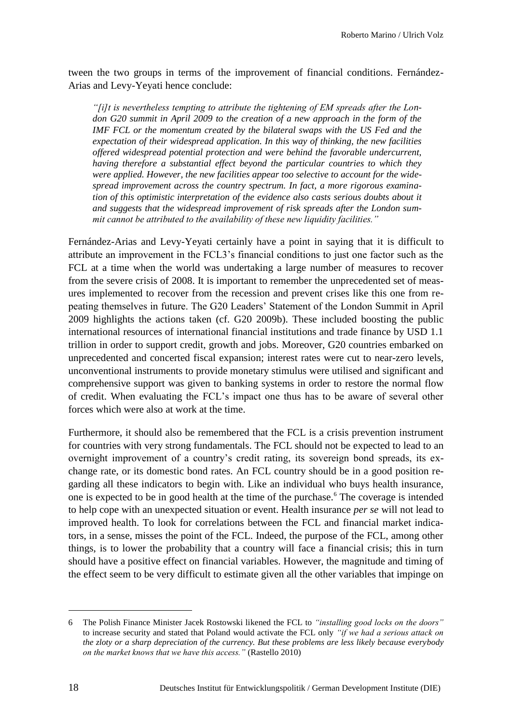tween the two groups in terms of the improvement of financial conditions. Fernández-Arias and Levy-Yeyati hence conclude:

*"[i]t is nevertheless tempting to attribute the tightening of EM spreads after the London G20 summit in April 2009 to the creation of a new approach in the form of the IMF FCL or the momentum created by the bilateral swaps with the US Fed and the expectation of their widespread application. In this way of thinking, the new facilities offered widespread potential protection and were behind the favorable undercurrent, having therefore a substantial effect beyond the particular countries to which they were applied. However, the new facilities appear too selective to account for the widespread improvement across the country spectrum. In fact, a more rigorous examination of this optimistic interpretation of the evidence also casts serious doubts about it and suggests that the widespread improvement of risk spreads after the London summit cannot be attributed to the availability of these new liquidity facilities."*

Fernández-Arias and Levy-Yeyati certainly have a point in saying that it is difficult to attribute an improvement in the FCL3's financial conditions to just one factor such as the FCL at a time when the world was undertaking a large number of measures to recover from the severe crisis of 2008. It is important to remember the unprecedented set of measures implemented to recover from the recession and prevent crises like this one from repeating themselves in future. The G20 Leaders' Statement of the London Summit in April 2009 highlights the actions taken (cf. G20 2009b). These included boosting the public international resources of international financial institutions and trade finance by USD 1.1 trillion in order to support credit, growth and jobs. Moreover, G20 countries embarked on unprecedented and concerted fiscal expansion; interest rates were cut to near-zero levels, unconventional instruments to provide monetary stimulus were utilised and significant and comprehensive support was given to banking systems in order to restore the normal flow of credit. When evaluating the FCL's impact one thus has to be aware of several other forces which were also at work at the time.

Furthermore, it should also be remembered that the FCL is a crisis prevention instrument for countries with very strong fundamentals. The FCL should not be expected to lead to an overnight improvement of a country's credit rating, its sovereign bond spreads, its exchange rate, or its domestic bond rates. An FCL country should be in a good position regarding all these indicators to begin with. Like an individual who buys health insurance, one is expected to be in good health at the time of the purchase.<sup>6</sup> The coverage is intended to help cope with an unexpected situation or event. Health insurance *per se* will not lead to improved health. To look for correlations between the FCL and financial market indicators, in a sense, misses the point of the FCL. Indeed, the purpose of the FCL, among other things, is to lower the probability that a country will face a financial crisis; this in turn should have a positive effect on financial variables. However, the magnitude and timing of the effect seem to be very difficult to estimate given all the other variables that impinge on

<sup>6</sup> The Polish Finance Minister Jacek Rostowski likened the FCL to *"installing good locks on the doors"* to increase security and stated that Poland would activate the FCL only *"if we had a serious attack on the zloty or a sharp depreciation of the currency. But these problems are less likely because everybody on the market knows that we have this access."* (Rastello 2010)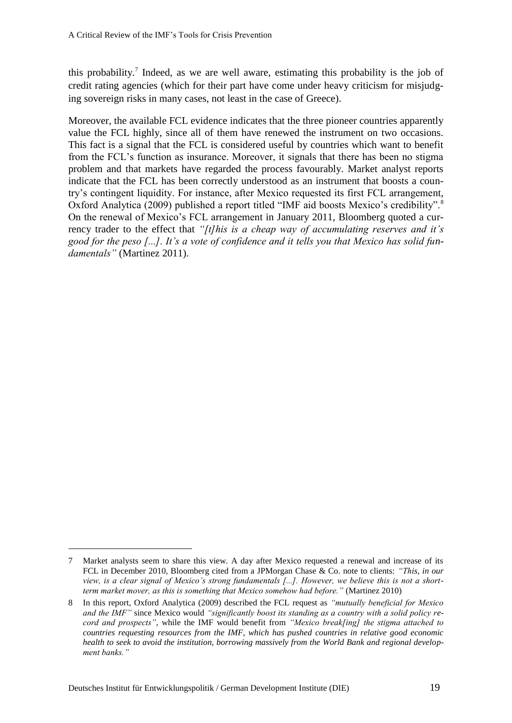this probability.<sup>7</sup> Indeed, as we are well aware, estimating this probability is the job of credit rating agencies (which for their part have come under heavy criticism for misjudging sovereign risks in many cases, not least in the case of Greece).

Moreover, the available FCL evidence indicates that the three pioneer countries apparently value the FCL highly, since all of them have renewed the instrument on two occasions. This fact is a signal that the FCL is considered useful by countries which want to benefit from the FCL's function as insurance. Moreover, it signals that there has been no stigma problem and that markets have regarded the process favourably. Market analyst reports indicate that the FCL has been correctly understood as an instrument that boosts a country's contingent liquidity. For instance, after Mexico requested its first FCL arrangement, Oxford Analytica (2009) published a report titled "IMF aid boosts Mexico's credibility".<sup>8</sup> On the renewal of Mexico's FCL arrangement in January 2011, Bloomberg quoted a currency trader to the effect that *"[t]his is a cheap way of accumulating reserves and it's good for the peso [...]. It's a vote of confidence and it tells you that Mexico has solid fundamentals"* (Martinez 2011).

<sup>7</sup> Market analysts seem to share this view. A day after Mexico requested a renewal and increase of its FCL in December 2010, Bloomberg cited from a JPMorgan Chase & Co. note to clients: *"This, in our view, is a clear signal of Mexico's strong fundamentals [...]. However, we believe this is not a shortterm market mover, as this is something that Mexico somehow had before."* (Martinez 2010)

<sup>8</sup> In this report, Oxford Analytica (2009) described the FCL request as *"mutually beneficial for Mexico and the IMF"* since Mexico would *"significantly boost its standing as a country with a solid policy record and prospects"*, while the IMF would benefit from *"Mexico break[ing] the stigma attached to countries requesting resources from the IMF, which has pushed countries in relative good economic health to seek to avoid the institution, borrowing massively from the World Bank and regional development banks."*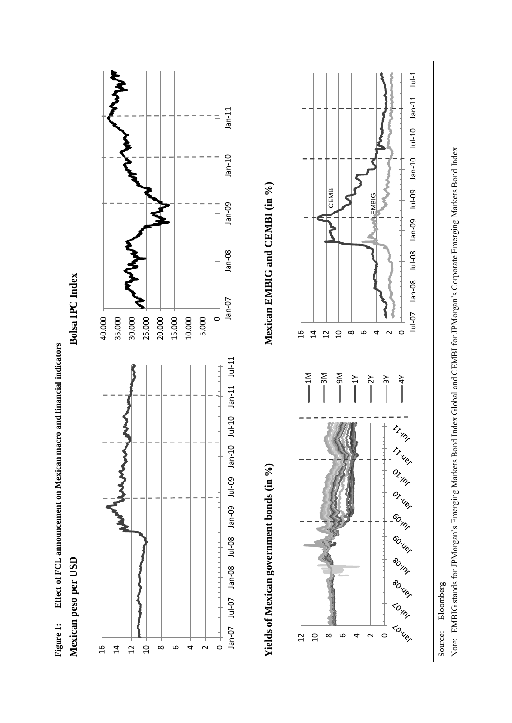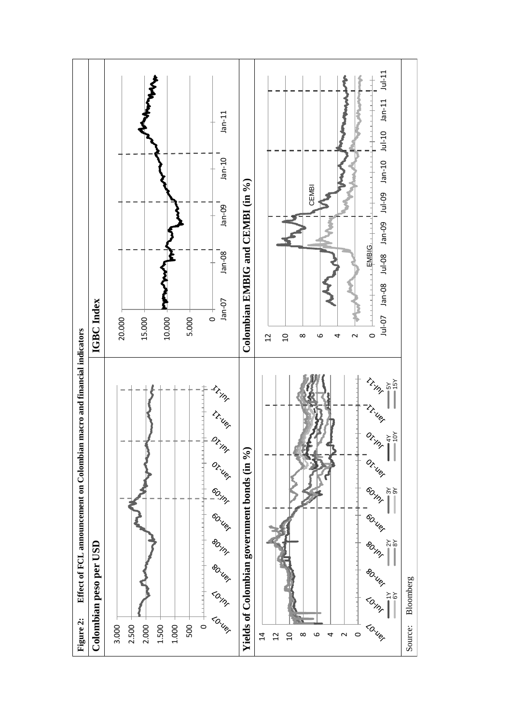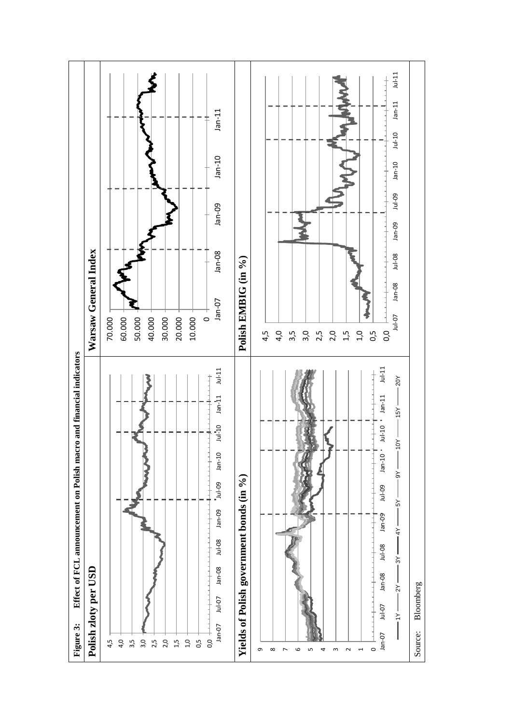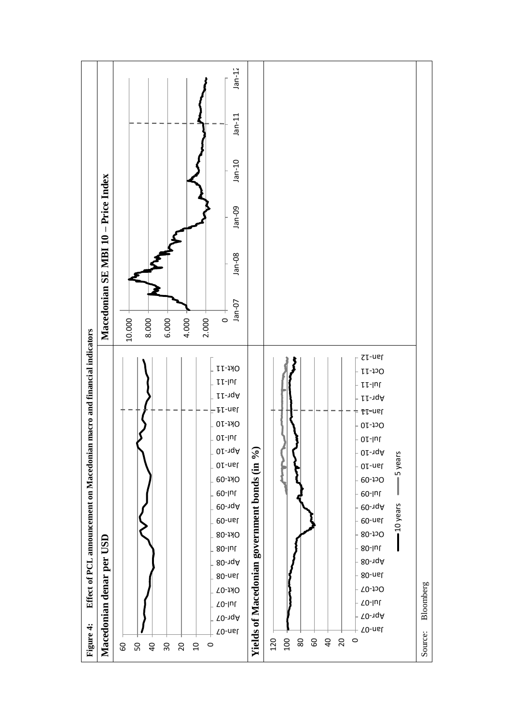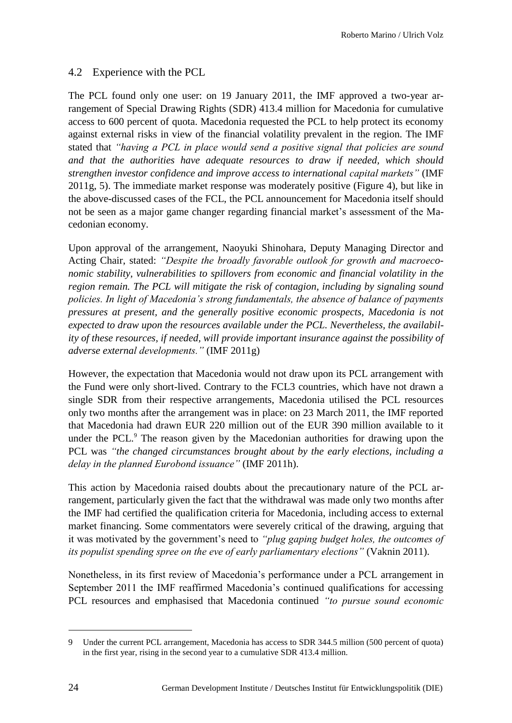# 4.2 Experience with the PCL

The PCL found only one user: on 19 January 2011, the IMF approved a two-year arrangement of Special Drawing Rights (SDR) 413.4 million for Macedonia for cumulative access to 600 percent of quota. Macedonia requested the PCL to help protect its economy against external risks in view of the financial volatility prevalent in the region. The IMF stated that *"having a PCL in place would send a positive signal that policies are sound and that the authorities have adequate resources to draw if needed, which should strengthen investor confidence and improve access to international capital markets"* (IMF 2011g, 5). The immediate market response was moderately positive (Figure 4), but like in the above-discussed cases of the FCL, the PCL announcement for Macedonia itself should not be seen as a major game changer regarding financial market's assessment of the Macedonian economy.

Upon approval of the arrangement, Naoyuki Shinohara, Deputy Managing Director and Acting Chair, stated: *"Despite the broadly favorable outlook for growth and macroeconomic stability, vulnerabilities to spillovers from economic and financial volatility in the region remain. The PCL will mitigate the risk of contagion, including by signaling sound policies. In light of Macedonia's strong fundamentals, the absence of balance of payments pressures at present, and the generally positive economic prospects, Macedonia is not expected to draw upon the resources available under the PCL. Nevertheless, the availability of these resources, if needed, will provide important insurance against the possibility of adverse external developments."* (IMF 2011g)

However, the expectation that Macedonia would not draw upon its PCL arrangement with the Fund were only short-lived. Contrary to the FCL3 countries, which have not drawn a single SDR from their respective arrangements, Macedonia utilised the PCL resources only two months after the arrangement was in place: on 23 March 2011, the IMF reported that Macedonia had drawn EUR 220 million out of the EUR 390 million available to it under the PCL.<sup>9</sup> The reason given by the Macedonian authorities for drawing upon the PCL was *"the changed circumstances brought about by the early elections, including a delay in the planned Eurobond issuance"* (IMF 2011h).

This action by Macedonia raised doubts about the precautionary nature of the PCL arrangement, particularly given the fact that the withdrawal was made only two months after the IMF had certified the qualification criteria for Macedonia, including access to external market financing. Some commentators were severely critical of the drawing, arguing that it was motivated by the government's need to *"plug gaping budget holes, the outcomes of its populist spending spree on the eve of early parliamentary elections"* (Vaknin 2011).

Nonetheless, in its first review of Macedonia's performance under a PCL arrangement in September 2011 the IMF reaffirmed Macedonia's continued qualifications for accessing PCL resources and emphasised that Macedonia continued *"to pursue sound economic* 

<sup>9</sup> Under the current PCL arrangement, Macedonia has access to SDR 344.5 million (500 percent of quota) in the first year, rising in the second year to a cumulative SDR 413.4 million.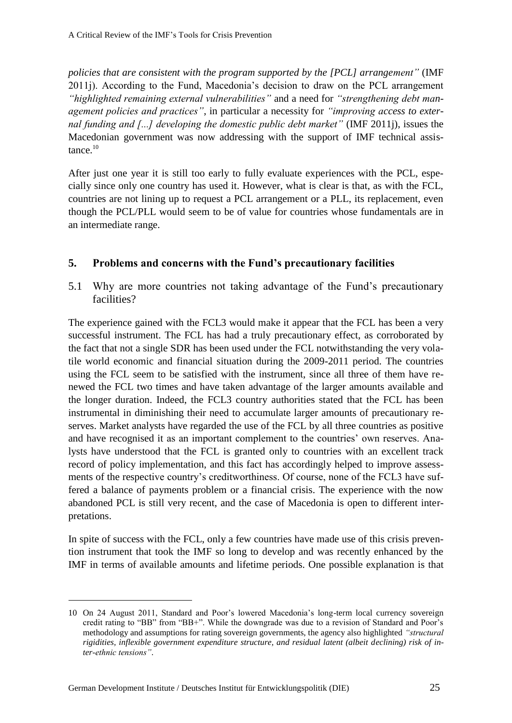*policies that are consistent with the program supported by the [PCL] arrangement"* (IMF 2011j). According to the Fund, Macedonia's decision to draw on the PCL arrangement *"highlighted remaining external vulnerabilities"* and a need for *"strengthening debt management policies and practices"*, in particular a necessity for *"improving access to external funding and [...] developing the domestic public debt market"* (IMF 2011j), issues the Macedonian government was now addressing with the support of IMF technical assis $t$ ance. $10$ 

After just one year it is still too early to fully evaluate experiences with the PCL, especially since only one country has used it. However, what is clear is that, as with the FCL, countries are not lining up to request a PCL arrangement or a PLL, its replacement, even though the PCL/PLL would seem to be of value for countries whose fundamentals are in an intermediate range.

# **5. Problems and concerns with the Fund's precautionary facilities**

5.1 Why are more countries not taking advantage of the Fund's precautionary facilities?

The experience gained with the FCL3 would make it appear that the FCL has been a very successful instrument. The FCL has had a truly precautionary effect, as corroborated by the fact that not a single SDR has been used under the FCL notwithstanding the very volatile world economic and financial situation during the 2009-2011 period. The countries using the FCL seem to be satisfied with the instrument, since all three of them have renewed the FCL two times and have taken advantage of the larger amounts available and the longer duration. Indeed, the FCL3 country authorities stated that the FCL has been instrumental in diminishing their need to accumulate larger amounts of precautionary reserves. Market analysts have regarded the use of the FCL by all three countries as positive and have recognised it as an important complement to the countries' own reserves. Analysts have understood that the FCL is granted only to countries with an excellent track record of policy implementation, and this fact has accordingly helped to improve assessments of the respective country's creditworthiness. Of course, none of the FCL3 have suffered a balance of payments problem or a financial crisis. The experience with the now abandoned PCL is still very recent, and the case of Macedonia is open to different interpretations.

In spite of success with the FCL, only a few countries have made use of this crisis prevention instrument that took the IMF so long to develop and was recently enhanced by the IMF in terms of available amounts and lifetime periods. One possible explanation is that

1

<sup>10</sup> On 24 August 2011, Standard and Poor's lowered Macedonia's long-term local currency sovereign credit rating to "BB" from "BB+". While the downgrade was due to a revision of Standard and Poor's methodology and assumptions for rating sovereign governments, the agency also highlighted *"structural rigidities, inflexible government expenditure structure, and residual latent (albeit declining) risk of inter-ethnic tensions"*.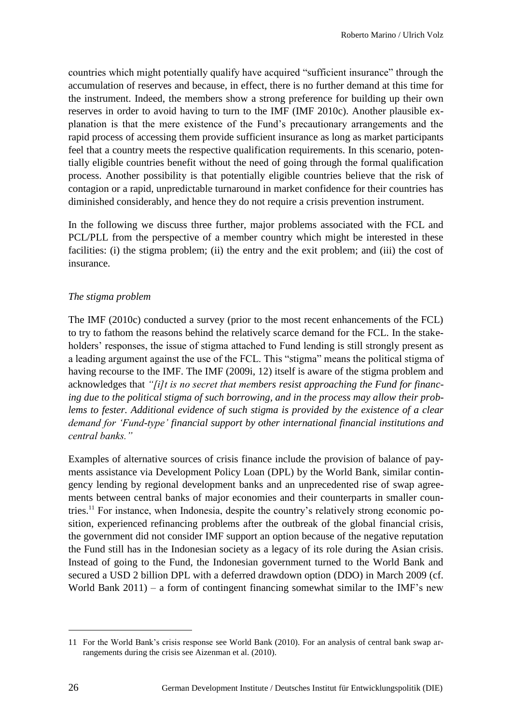countries which might potentially qualify have acquired "sufficient insurance" through the accumulation of reserves and because, in effect, there is no further demand at this time for the instrument. Indeed, the members show a strong preference for building up their own reserves in order to avoid having to turn to the IMF (IMF 2010c). Another plausible explanation is that the mere existence of the Fund's precautionary arrangements and the rapid process of accessing them provide sufficient insurance as long as market participants feel that a country meets the respective qualification requirements. In this scenario, potentially eligible countries benefit without the need of going through the formal qualification process. Another possibility is that potentially eligible countries believe that the risk of contagion or a rapid, unpredictable turnaround in market confidence for their countries has diminished considerably, and hence they do not require a crisis prevention instrument.

In the following we discuss three further, major problems associated with the FCL and PCL/PLL from the perspective of a member country which might be interested in these facilities: (i) the stigma problem; (ii) the entry and the exit problem; and (iii) the cost of insurance.

# *The stigma problem*

The IMF (2010c) conducted a survey (prior to the most recent enhancements of the FCL) to try to fathom the reasons behind the relatively scarce demand for the FCL. In the stakeholders' responses, the issue of stigma attached to Fund lending is still strongly present as a leading argument against the use of the FCL. This "stigma" means the political stigma of having recourse to the IMF. The IMF (2009i, 12) itself is aware of the stigma problem and acknowledges that *"[i]t is no secret that members resist approaching the Fund for financing due to the political stigma of such borrowing, and in the process may allow their prob*lems to fester. Additional evidence of such stigma is provided by the existence of a clear *demand for 'Fund-type' financial support by other international financial institutions and central banks."*

Examples of alternative sources of crisis finance include the provision of balance of payments assistance via Development Policy Loan (DPL) by the World Bank, similar contingency lending by regional development banks and an unprecedented rise of swap agreements between central banks of major economies and their counterparts in smaller countries.<sup>11</sup> For instance, when Indonesia, despite the country's relatively strong economic position, experienced refinancing problems after the outbreak of the global financial crisis, the government did not consider IMF support an option because of the negative reputation the Fund still has in the Indonesian society as a legacy of its role during the Asian crisis. Instead of going to the Fund, the Indonesian government turned to the World Bank and secured a USD 2 billion DPL with a deferred drawdown option (DDO) in March 2009 (cf. World Bank  $2011$ ) – a form of contingent financing somewhat similar to the IMF's new

<sup>11</sup> For the World Bank's crisis response see World Bank (2010). For an analysis of central bank swap arrangements during the crisis see Aizenman et al. (2010).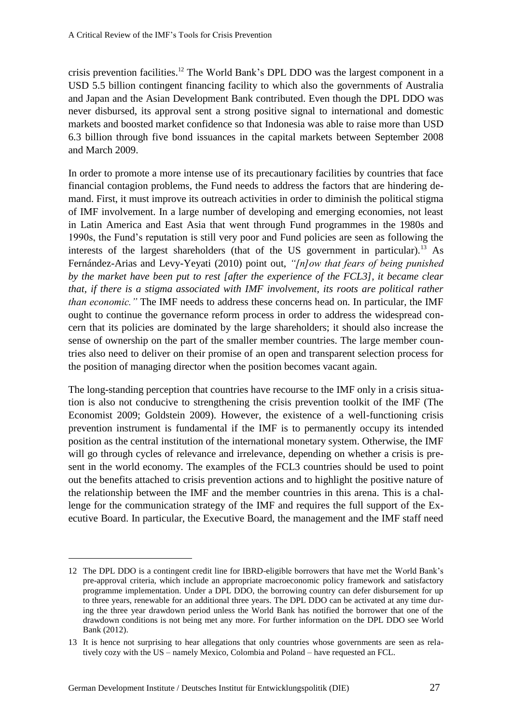crisis prevention facilities. <sup>12</sup> The World Bank's DPL DDO was the largest component in a USD 5.5 billion contingent financing facility to which also the governments of Australia and Japan and the Asian Development Bank contributed. Even though the DPL DDO was never disbursed, its approval sent a strong positive signal to international and domestic markets and boosted market confidence so that Indonesia was able to raise more than USD 6.3 billion through five bond issuances in the capital markets between September 2008 and March 2009.

In order to promote a more intense use of its precautionary facilities by countries that face financial contagion problems, the Fund needs to address the factors that are hindering demand. First, it must improve its outreach activities in order to diminish the political stigma of IMF involvement. In a large number of developing and emerging economies, not least in Latin America and East Asia that went through Fund programmes in the 1980s and 1990s, the Fund's reputation is still very poor and Fund policies are seen as following the interests of the largest shareholders (that of the US government in particular).<sup>13</sup> As Fernández-Arias and Levy-Yeyati (2010) point out, *"[n]ow that fears of being punished by the market have been put to rest [after the experience of the FCL3], it became clear that, if there is a stigma associated with IMF involvement, its roots are political rather than economic."* The IMF needs to address these concerns head on. In particular, the IMF ought to continue the governance reform process in order to address the widespread concern that its policies are dominated by the large shareholders; it should also increase the sense of ownership on the part of the smaller member countries. The large member countries also need to deliver on their promise of an open and transparent selection process for the position of managing director when the position becomes vacant again.

The long-standing perception that countries have recourse to the IMF only in a crisis situation is also not conducive to strengthening the crisis prevention toolkit of the IMF (The Economist 2009; Goldstein 2009). However, the existence of a well-functioning crisis prevention instrument is fundamental if the IMF is to permanently occupy its intended position as the central institution of the international monetary system. Otherwise, the IMF will go through cycles of relevance and irrelevance, depending on whether a crisis is present in the world economy. The examples of the FCL3 countries should be used to point out the benefits attached to crisis prevention actions and to highlight the positive nature of the relationship between the IMF and the member countries in this arena. This is a challenge for the communication strategy of the IMF and requires the full support of the Executive Board. In particular, the Executive Board, the management and the IMF staff need

<sup>12</sup> The DPL DDO is a contingent credit line for IBRD-eligible borrowers that have met the World Bank's pre-approval criteria, which include an appropriate macroeconomic policy framework and satisfactory programme implementation. Under a DPL DDO, the borrowing country can defer disbursement for up to three years, renewable for an additional three years. The DPL DDO can be activated at any time during the three year drawdown period unless the World Bank has notified the borrower that one of the drawdown conditions is not being met any more. For further information on the DPL DDO see World Bank (2012).

<sup>13</sup> It is hence not surprising to hear allegations that only countries whose governments are seen as relatively cozy with the US – namely Mexico, Colombia and Poland – have requested an FCL.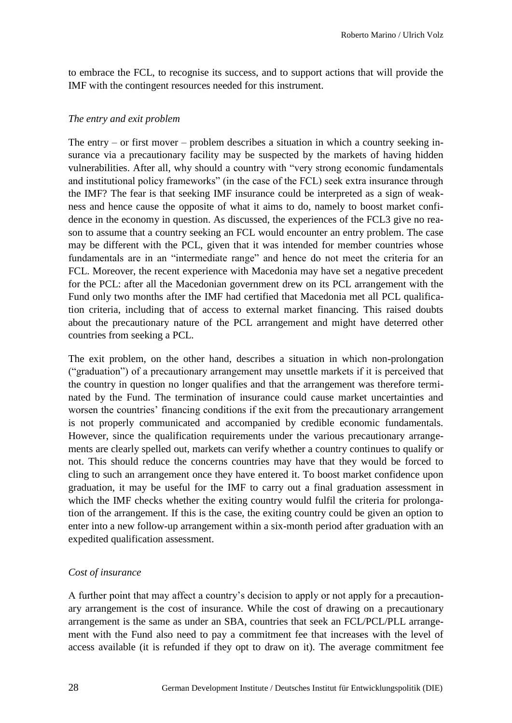to embrace the FCL, to recognise its success, and to support actions that will provide the IMF with the contingent resources needed for this instrument.

#### *The entry and exit problem*

The entry – or first mover – problem describes a situation in which a country seeking insurance via a precautionary facility may be suspected by the markets of having hidden vulnerabilities. After all, why should a country with "very strong economic fundamentals and institutional policy frameworks" (in the case of the FCL) seek extra insurance through the IMF? The fear is that seeking IMF insurance could be interpreted as a sign of weakness and hence cause the opposite of what it aims to do, namely to boost market confidence in the economy in question. As discussed, the experiences of the FCL3 give no reason to assume that a country seeking an FCL would encounter an entry problem. The case may be different with the PCL, given that it was intended for member countries whose fundamentals are in an "intermediate range" and hence do not meet the criteria for an FCL. Moreover, the recent experience with Macedonia may have set a negative precedent for the PCL: after all the Macedonian government drew on its PCL arrangement with the Fund only two months after the IMF had certified that Macedonia met all PCL qualification criteria, including that of access to external market financing. This raised doubts about the precautionary nature of the PCL arrangement and might have deterred other countries from seeking a PCL.

The exit problem, on the other hand, describes a situation in which non-prolongation ("graduation") of a precautionary arrangement may unsettle markets if it is perceived that the country in question no longer qualifies and that the arrangement was therefore terminated by the Fund. The termination of insurance could cause market uncertainties and worsen the countries' financing conditions if the exit from the precautionary arrangement is not properly communicated and accompanied by credible economic fundamentals. However, since the qualification requirements under the various precautionary arrangements are clearly spelled out, markets can verify whether a country continues to qualify or not. This should reduce the concerns countries may have that they would be forced to cling to such an arrangement once they have entered it. To boost market confidence upon graduation, it may be useful for the IMF to carry out a final graduation assessment in which the IMF checks whether the exiting country would fulfil the criteria for prolongation of the arrangement. If this is the case, the exiting country could be given an option to enter into a new follow-up arrangement within a six-month period after graduation with an expedited qualification assessment.

## *Cost of insurance*

A further point that may affect a country's decision to apply or not apply for a precautionary arrangement is the cost of insurance. While the cost of drawing on a precautionary arrangement is the same as under an SBA, countries that seek an FCL/PCL/PLL arrangement with the Fund also need to pay a commitment fee that increases with the level of access available (it is refunded if they opt to draw on it). The average commitment fee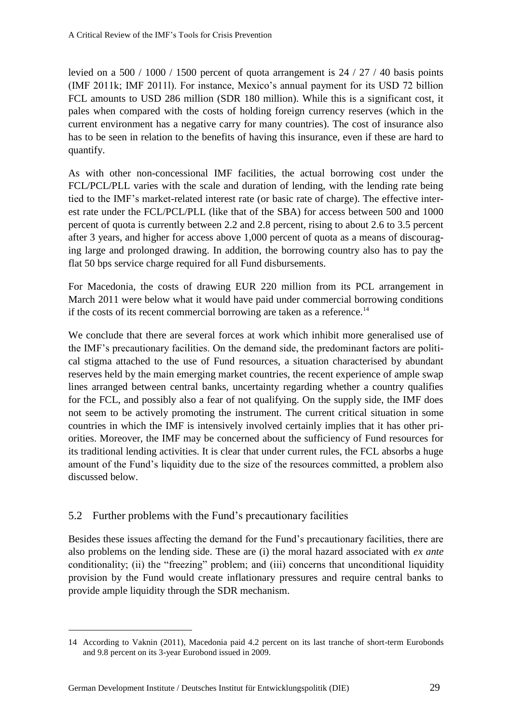levied on a 500 / 1000 / 1500 percent of quota arrangement is 24 / 27 / 40 basis points (IMF 2011k; IMF 2011l). For instance, Mexico's annual payment for its USD 72 billion FCL amounts to USD 286 million (SDR 180 million). While this is a significant cost, it pales when compared with the costs of holding foreign currency reserves (which in the current environment has a negative carry for many countries). The cost of insurance also has to be seen in relation to the benefits of having this insurance, even if these are hard to quantify.

As with other non-concessional IMF facilities, the actual borrowing cost under the FCL/PCL/PLL varies with the scale and duration of lending, with the lending rate being tied to the IMF's market-related interest rate (or basic rate of charge). The effective interest rate under the FCL/PCL/PLL (like that of the SBA) for access between 500 and 1000 percent of quota is currently between 2.2 and 2.8 percent, rising to about 2.6 to 3.5 percent after 3 years, and higher for access above 1,000 percent of quota as a means of discouraging large and prolonged drawing. In addition, the borrowing country also has to pay the flat 50 bps service charge required for all Fund disbursements.

For Macedonia, the costs of drawing EUR 220 million from its PCL arrangement in March 2011 were below what it would have paid under commercial borrowing conditions if the costs of its recent commercial borrowing are taken as a reference.<sup>14</sup>

We conclude that there are several forces at work which inhibit more generalised use of the IMF's precautionary facilities. On the demand side, the predominant factors are political stigma attached to the use of Fund resources, a situation characterised by abundant reserves held by the main emerging market countries, the recent experience of ample swap lines arranged between central banks, uncertainty regarding whether a country qualifies for the FCL, and possibly also a fear of not qualifying. On the supply side, the IMF does not seem to be actively promoting the instrument. The current critical situation in some countries in which the IMF is intensively involved certainly implies that it has other priorities. Moreover, the IMF may be concerned about the sufficiency of Fund resources for its traditional lending activities. It is clear that under current rules, the FCL absorbs a huge amount of the Fund's liquidity due to the size of the resources committed, a problem also discussed below.

# 5.2 Further problems with the Fund's precautionary facilities

Besides these issues affecting the demand for the Fund's precautionary facilities, there are also problems on the lending side. These are (i) the moral hazard associated with *ex ante* conditionality; (ii) the "freezing" problem; and (iii) concerns that unconditional liquidity provision by the Fund would create inflationary pressures and require central banks to provide ample liquidity through the SDR mechanism.

<sup>14</sup> According to Vaknin (2011), Macedonia paid 4.2 percent on its last tranche of short-term Eurobonds and 9.8 percent on its 3-year Eurobond issued in 2009.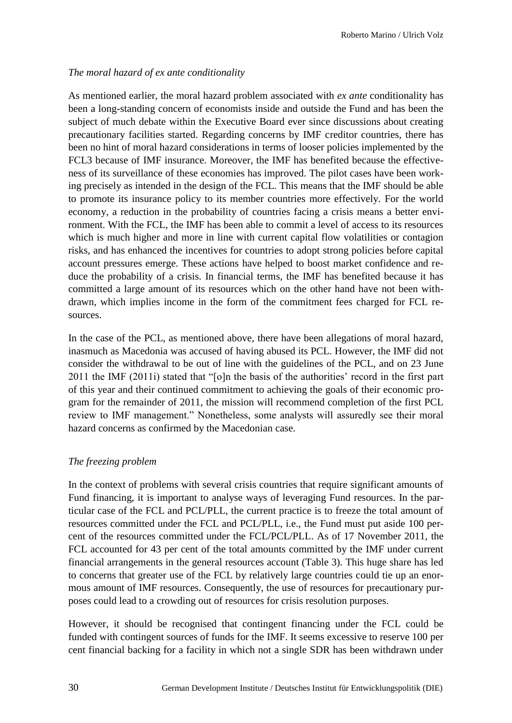# *The moral hazard of ex ante conditionality*

As mentioned earlier, the moral hazard problem associated with *ex ante* conditionality has been a long-standing concern of economists inside and outside the Fund and has been the subject of much debate within the Executive Board ever since discussions about creating precautionary facilities started. Regarding concerns by IMF creditor countries, there has been no hint of moral hazard considerations in terms of looser policies implemented by the FCL3 because of IMF insurance. Moreover, the IMF has benefited because the effectiveness of its surveillance of these economies has improved. The pilot cases have been working precisely as intended in the design of the FCL. This means that the IMF should be able to promote its insurance policy to its member countries more effectively. For the world economy, a reduction in the probability of countries facing a crisis means a better environment. With the FCL, the IMF has been able to commit a level of access to its resources which is much higher and more in line with current capital flow volatilities or contagion risks, and has enhanced the incentives for countries to adopt strong policies before capital account pressures emerge. These actions have helped to boost market confidence and reduce the probability of a crisis. In financial terms, the IMF has benefited because it has committed a large amount of its resources which on the other hand have not been withdrawn, which implies income in the form of the commitment fees charged for FCL resources.

In the case of the PCL, as mentioned above, there have been allegations of moral hazard, inasmuch as Macedonia was accused of having abused its PCL. However, the IMF did not consider the withdrawal to be out of line with the guidelines of the PCL, and on 23 June 2011 the IMF (2011i) stated that "[o]n the basis of the authorities' record in the first part of this year and their continued commitment to achieving the goals of their economic program for the remainder of 2011, the mission will recommend completion of the first PCL review to IMF management." Nonetheless, some analysts will assuredly see their moral hazard concerns as confirmed by the Macedonian case.

## *The freezing problem*

In the context of problems with several crisis countries that require significant amounts of Fund financing, it is important to analyse ways of leveraging Fund resources. In the particular case of the FCL and PCL/PLL, the current practice is to freeze the total amount of resources committed under the FCL and PCL/PLL, i.e., the Fund must put aside 100 percent of the resources committed under the FCL/PCL/PLL. As of 17 November 2011, the FCL accounted for 43 per cent of the total amounts committed by the IMF under current financial arrangements in the general resources account (Table 3). This huge share has led to concerns that greater use of the FCL by relatively large countries could tie up an enormous amount of IMF resources. Consequently, the use of resources for precautionary purposes could lead to a crowding out of resources for crisis resolution purposes.

However, it should be recognised that contingent financing under the FCL could be funded with contingent sources of funds for the IMF. It seems excessive to reserve 100 per cent financial backing for a facility in which not a single SDR has been withdrawn under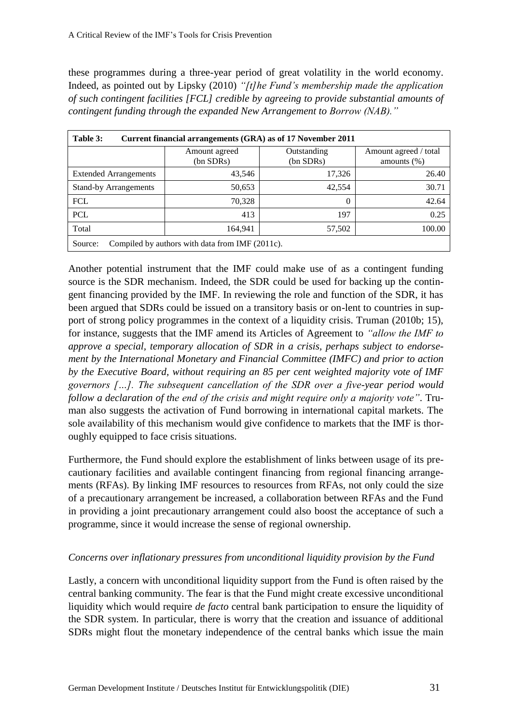these programmes during a three-year period of great volatility in the world economy. Indeed, as pointed out by Lipsky (2010) *"[t]he Fund's membership made the application of such contingent facilities [FCL] credible by agreeing to provide substantial amounts of contingent funding through the expanded New Arrangement to Borrow (NAB)."*

| Table 3:<br>Current financial arrangements (GRA) as of 17 November 2011 |                            |                          |                                         |  |
|-------------------------------------------------------------------------|----------------------------|--------------------------|-----------------------------------------|--|
|                                                                         | Amount agreed<br>(bn SDRs) | Outstanding<br>(bn SDRs) | Amount agreed / total<br>amounts $(\%)$ |  |
| <b>Extended Arrangements</b>                                            | 43,546                     | 17,326                   | 26.40                                   |  |
| <b>Stand-by Arrangements</b>                                            | 50,653                     | 42,554                   | 30.71                                   |  |
| <b>FCL</b>                                                              | 70,328                     | $\Omega$                 | 42.64                                   |  |
| <b>PCL</b>                                                              | 413                        | 197                      | 0.25                                    |  |
| Total                                                                   | 164,941                    | 57,502                   | 100.00                                  |  |
| Compiled by authors with data from IMF (2011c).<br>Source:              |                            |                          |                                         |  |

Another potential instrument that the IMF could make use of as a contingent funding source is the SDR mechanism. Indeed, the SDR could be used for backing up the contingent financing provided by the IMF. In reviewing the role and function of the SDR, it has been argued that SDRs could be issued on a transitory basis or on-lent to countries in support of strong policy programmes in the context of a liquidity crisis. Truman (2010b; 15), for instance, suggests that the IMF amend its Articles of Agreement to *"allow the IMF to approve a special, temporary allocation of SDR in a crisis, perhaps subject to endorsement by the International Monetary and Financial Committee (IMFC) and prior to action by the Executive Board, without requiring an 85 per cent weighted majority vote of IMF governors […]. The subsequent cancellation of the SDR over a five-year period would follow a declaration of the end of the crisis and might require only a majority vote"*. Truman also suggests the activation of Fund borrowing in international capital markets. The sole availability of this mechanism would give confidence to markets that the IMF is thoroughly equipped to face crisis situations.

Furthermore, the Fund should explore the establishment of links between usage of its precautionary facilities and available contingent financing from regional financing arrangements (RFAs). By linking IMF resources to resources from RFAs, not only could the size of a precautionary arrangement be increased, a collaboration between RFAs and the Fund in providing a joint precautionary arrangement could also boost the acceptance of such a programme, since it would increase the sense of regional ownership.

## *Concerns over inflationary pressures from unconditional liquidity provision by the Fund*

Lastly, a concern with unconditional liquidity support from the Fund is often raised by the central banking community. The fear is that the Fund might create excessive unconditional liquidity which would require *de facto* central bank participation to ensure the liquidity of the SDR system. In particular, there is worry that the creation and issuance of additional SDRs might flout the monetary independence of the central banks which issue the main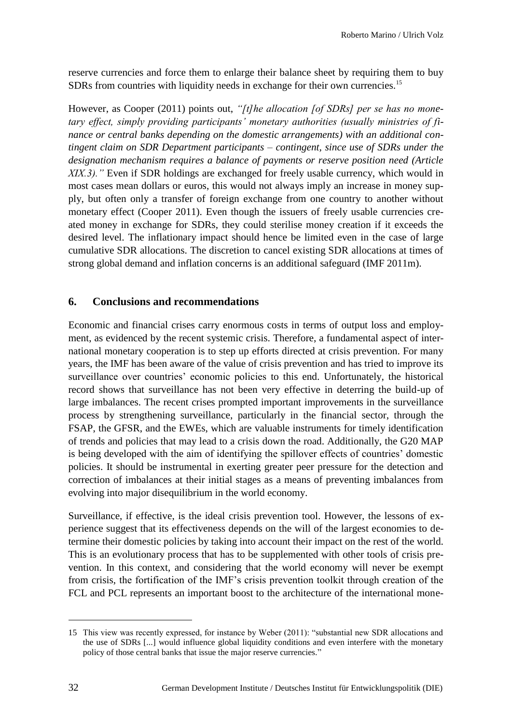reserve currencies and force them to enlarge their balance sheet by requiring them to buy SDRs from countries with liquidity needs in exchange for their own currencies.<sup>15</sup>

However, as Cooper (2011) points out, *"[t]he allocation [of SDRs] per se has no monetary effect, simply providing participants' monetary authorities (usually ministries of finance or central banks depending on the domestic arrangements) with an additional contingent claim on SDR Department participants – contingent, since use of SDRs under the designation mechanism requires a balance of payments or reserve position need (Article XIX.3).*" Even if SDR holdings are exchanged for freely usable currency, which would in most cases mean dollars or euros, this would not always imply an increase in money supply, but often only a transfer of foreign exchange from one country to another without monetary effect (Cooper 2011). Even though the issuers of freely usable currencies created money in exchange for SDRs, they could sterilise money creation if it exceeds the desired level. The inflationary impact should hence be limited even in the case of large cumulative SDR allocations. The discretion to cancel existing SDR allocations at times of strong global demand and inflation concerns is an additional safeguard (IMF 2011m).

## **6. Conclusions and recommendations**

Economic and financial crises carry enormous costs in terms of output loss and employment, as evidenced by the recent systemic crisis. Therefore, a fundamental aspect of international monetary cooperation is to step up efforts directed at crisis prevention. For many years, the IMF has been aware of the value of crisis prevention and has tried to improve its surveillance over countries' economic policies to this end. Unfortunately, the historical record shows that surveillance has not been very effective in deterring the build-up of large imbalances. The recent crises prompted important improvements in the surveillance process by strengthening surveillance, particularly in the financial sector, through the FSAP, the GFSR, and the EWEs, which are valuable instruments for timely identification of trends and policies that may lead to a crisis down the road. Additionally, the G20 MAP is being developed with the aim of identifying the spillover effects of countries' domestic policies. It should be instrumental in exerting greater peer pressure for the detection and correction of imbalances at their initial stages as a means of preventing imbalances from evolving into major disequilibrium in the world economy.

Surveillance, if effective, is the ideal crisis prevention tool. However, the lessons of experience suggest that its effectiveness depends on the will of the largest economies to determine their domestic policies by taking into account their impact on the rest of the world. This is an evolutionary process that has to be supplemented with other tools of crisis prevention. In this context, and considering that the world economy will never be exempt from crisis, the fortification of the IMF's crisis prevention toolkit through creation of the FCL and PCL represents an important boost to the architecture of the international mone-

<sup>15</sup> This view was recently expressed, for instance by Weber (2011): "substantial new SDR allocations and the use of SDRs [...] would influence global liquidity conditions and even interfere with the monetary policy of those central banks that issue the major reserve currencies."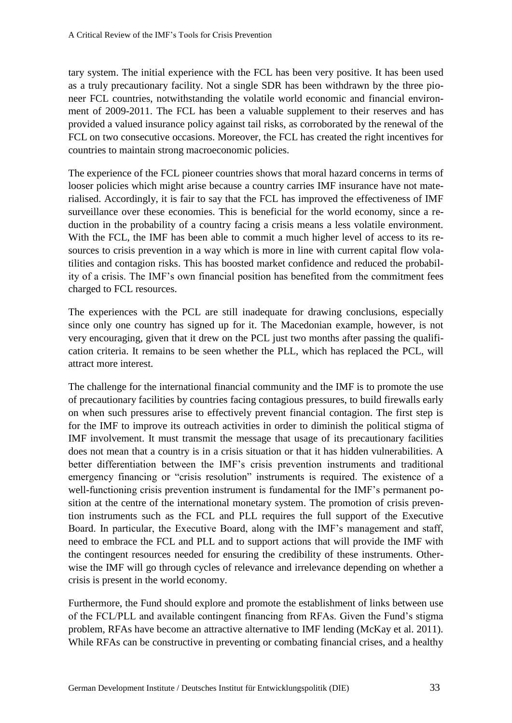tary system. The initial experience with the FCL has been very positive. It has been used as a truly precautionary facility. Not a single SDR has been withdrawn by the three pioneer FCL countries, notwithstanding the volatile world economic and financial environment of 2009-2011. The FCL has been a valuable supplement to their reserves and has provided a valued insurance policy against tail risks, as corroborated by the renewal of the FCL on two consecutive occasions. Moreover, the FCL has created the right incentives for countries to maintain strong macroeconomic policies.

The experience of the FCL pioneer countries shows that moral hazard concerns in terms of looser policies which might arise because a country carries IMF insurance have not materialised. Accordingly, it is fair to say that the FCL has improved the effectiveness of IMF surveillance over these economies. This is beneficial for the world economy, since a reduction in the probability of a country facing a crisis means a less volatile environment. With the FCL, the IMF has been able to commit a much higher level of access to its resources to crisis prevention in a way which is more in line with current capital flow volatilities and contagion risks. This has boosted market confidence and reduced the probability of a crisis. The IMF's own financial position has benefited from the commitment fees charged to FCL resources.

The experiences with the PCL are still inadequate for drawing conclusions, especially since only one country has signed up for it. The Macedonian example, however, is not very encouraging, given that it drew on the PCL just two months after passing the qualification criteria. It remains to be seen whether the PLL, which has replaced the PCL, will attract more interest.

The challenge for the international financial community and the IMF is to promote the use of precautionary facilities by countries facing contagious pressures, to build firewalls early on when such pressures arise to effectively prevent financial contagion. The first step is for the IMF to improve its outreach activities in order to diminish the political stigma of IMF involvement. It must transmit the message that usage of its precautionary facilities does not mean that a country is in a crisis situation or that it has hidden vulnerabilities. A better differentiation between the IMF's crisis prevention instruments and traditional emergency financing or "crisis resolution" instruments is required. The existence of a well-functioning crisis prevention instrument is fundamental for the IMF's permanent position at the centre of the international monetary system. The promotion of crisis prevention instruments such as the FCL and PLL requires the full support of the Executive Board. In particular, the Executive Board, along with the IMF's management and staff, need to embrace the FCL and PLL and to support actions that will provide the IMF with the contingent resources needed for ensuring the credibility of these instruments. Otherwise the IMF will go through cycles of relevance and irrelevance depending on whether a crisis is present in the world economy.

Furthermore, the Fund should explore and promote the establishment of links between use of the FCL/PLL and available contingent financing from RFAs. Given the Fund's stigma problem, RFAs have become an attractive alternative to IMF lending (McKay et al. 2011). While RFAs can be constructive in preventing or combating financial crises, and a healthy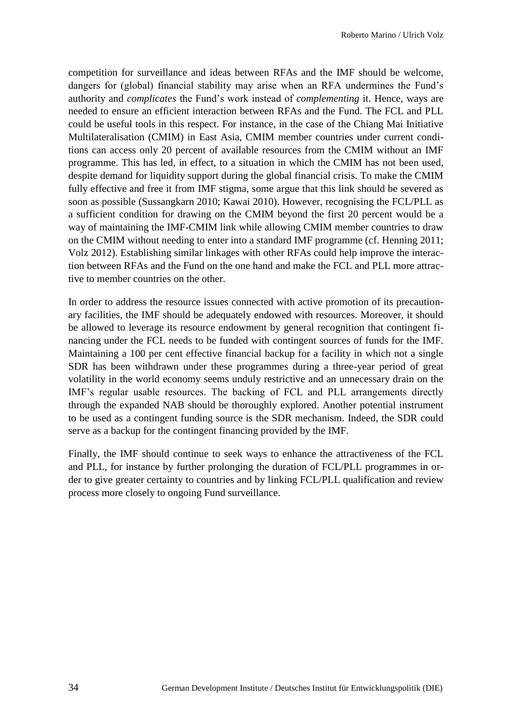competition for surveillance and ideas between RFAs and the IMF should be welcome, dangers for (global) financial stability may arise when an RFA undermines the Fund's authority and *complicates* the Fund's work instead of *complementing* it. Hence, ways are needed to ensure an efficient interaction between RFAs and the Fund. The FCL and PLL could be useful tools in this respect. For instance, in the case of the Chiang Mai Initiative Multilateralisation (CMIM) in East Asia, CMIM member countries under current conditions can access only 20 percent of available resources from the CMIM without an IMF programme. This has led, in effect, to a situation in which the CMIM has not been used, despite demand for liquidity support during the global financial crisis. To make the CMIM fully effective and free it from IMF stigma, some argue that this link should be severed as soon as possible (Sussangkarn 2010; Kawai 2010). However, recognising the FCL/PLL as a sufficient condition for drawing on the CMIM beyond the first 20 percent would be a way of maintaining the IMF-CMIM link while allowing CMIM member countries to draw on the CMIM without needing to enter into a standard IMF programme (cf. Henning 2011; Volz 2012). Establishing similar linkages with other RFAs could help improve the interaction between RFAs and the Fund on the one hand and make the FCL and PLL more attractive to member countries on the other.

In order to address the resource issues connected with active promotion of its precautionary facilities, the IMF should be adequately endowed with resources. Moreover, it should be allowed to leverage its resource endowment by general recognition that contingent financing under the FCL needs to be funded with contingent sources of funds for the IMF. Maintaining a 100 per cent effective financial backup for a facility in which not a single SDR has been withdrawn under these programmes during a three-year period of great volatility in the world economy seems unduly restrictive and an unnecessary drain on the IMF's regular usable resources. The backing of FCL and PLL arrangements directly through the expanded NAB should be thoroughly explored. Another potential instrument to be used as a contingent funding source is the SDR mechanism. Indeed, the SDR could serve as a backup for the contingent financing provided by the IMF.

Finally, the IMF should continue to seek ways to enhance the attractiveness of the FCL and PLL, for instance by further prolonging the duration of FCL/PLL programmes in order to give greater certainty to countries and by linking FCL/PLL qualification and review process more closely to ongoing Fund surveillance.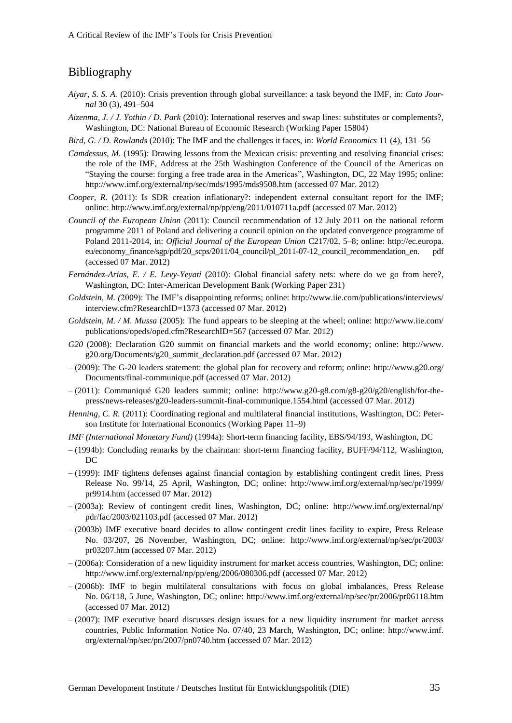# Bibliography

- *Aiyar, S. S. A.* (2010): Crisis prevention through global surveillance: a task beyond the IMF, in: *Cato Journal* 30 (3), 491–504
- *Aizenma, J. / J. Yothin / D. Park* (2010): International reserves and swap lines: substitutes or complements?, Washington, DC: National Bureau of Economic Research (Working Paper 15804)
- *Bird, G. / D. Rowlands* (2010): The IMF and the challenges it faces, in: *World Economics* 11 (4), 131–56
- *Camdessus, M.* (1995): Drawing lessons from the Mexican crisis: preventing and resolving financial crises: the role of the IMF, Address at the 25th Washington Conference of the Council of the Americas on "Staying the course: forging a free trade area in the Americas", Washington, DC, 22 May 1995; online: http://www.imf.org/external/np/sec/mds/1995/mds9508.htm (accessed 07 Mar. 2012)
- *Cooper, R.* (2011): Is SDR creation inflationary?: independent external consultant report for the IMF; online: http://www.imf.org/external/np/pp/eng/2011/010711a.pdf (accessed 07 Mar. 2012)
- *Council of the European Union* (2011): Council recommendation of 12 July 2011 on the national reform programme 2011 of Poland and delivering a council opinion on the updated convergence programme of Poland 2011-2014, in: *Official Journal of the European Union* C217/02, 5–8; online: http://ec.europa. eu/economy\_finance/sgp/pdf/20\_scps/2011/04\_council/pl\_2011-07-12\_council\_recommendation\_en. pdf (accessed 07 Mar. 2012)
- *Fernández-Arias, E. / E. Levy-Yeyati* (2010): Global financial safety nets: where do we go from here?, Washington, DC: Inter-American Development Bank (Working Paper 231)
- *Goldstein, M. (*2009): The IMF's disappointing reforms; online: http://www.iie.com/publications/interviews/ interview.cfm?ResearchID=1373 (accessed 07 Mar. 2012)
- *Goldstein, M. / M. Mussa* (2005): The fund appears to be sleeping at the wheel; online: http://www.iie.com/ publications/opeds/oped.cfm?ResearchID=567 (accessed 07 Mar. 2012)
- *G20* (2008): Declaration G20 summit on financial markets and the world economy; online: http://www. g20.org/Documents/g20\_summit\_declaration.pdf (accessed 07 Mar. 2012)
- (2009): The G-20 leaders statement: the global plan for recovery and reform; online: http://www.g20.org/ Documents/final-communique.pdf (accessed 07 Mar. 2012)
- (2011): Communiqué G20 leaders summit; online: http://www.g20-g8.com/g8-g20/g20/english/for-thepress/news-releases/g20-leaders-summit-final-communique.1554.html (accessed 07 Mar. 2012)
- *Henning, C. R.* (2011): Coordinating regional and multilateral financial institutions, Washington, DC: Peterson Institute for International Economics (Working Paper 11–9)
- *IMF (International Monetary Fund)* (1994a): Short-term financing facility, EBS/94/193, Washington, DC
- (1994b): Concluding remarks by the chairman: short-term financing facility, BUFF/94/112, Washington, DC
- (1999): IMF tightens defenses against financial contagion by establishing contingent credit lines, Press Release No. 99/14, 25 April, Washington, DC; online: http://www.imf.org/external/np/sec/pr/1999/ pr9914.htm (accessed 07 Mar. 2012)
- (2003a): Review of contingent credit lines, Washington, DC; online: http://www.imf.org/external/np/ pdr/fac/2003/021103.pdf (accessed 07 Mar. 2012)
- (2003b) IMF executive board decides to allow contingent credit lines facility to expire, Press Release No. 03/207, 26 November, Washington, DC; online: http://www.imf.org/external/np/sec/pr/2003/ pr03207.htm (accessed 07 Mar. 2012)
- (2006a): Consideration of a new liquidity instrument for market access countries, Washington, DC; online: http://www.imf.org/external/np/pp/eng/2006/080306.pdf (accessed 07 Mar. 2012)
- (2006b): IMF to begin multilateral consultations with focus on global imbalances, Press Release No. 06/118, 5 June, Washington, DC; online: http://www.imf.org/external/np/sec/pr/2006/pr06118.htm (accessed 07 Mar. 2012)
- (2007): IMF executive board discusses design issues for a new liquidity instrument for market access countries, Public Information Notice No. 07/40, 23 March, Washington, DC; online: http://www.imf. org/external/np/sec/pn/2007/pn0740.htm (accessed 07 Mar. 2012)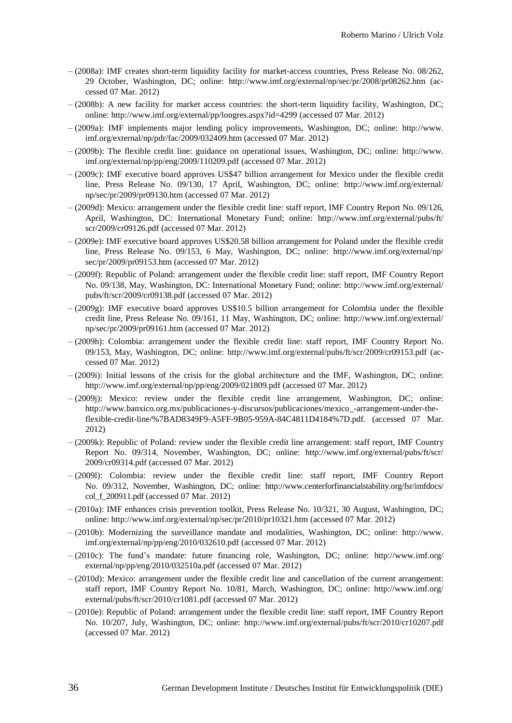- (2008a): IMF creates short-term liquidity facility for market-access countries, Press Release No. 08/262, 29 October, Washington, DC; online: http://www.imf.org/external/np/sec/pr/2008/pr08262.htm (accessed 07 Mar. 2012)
- $-$  (2008b): A new facility for market access countries: the short-term liquidity facility, Washington, DC; online: http://www.imf.org/external/pp/longres.aspx?id=4299 (accessed 07 Mar. 2012)
- (2009a): IMF implements major lending policy improvements, Washington, DC; online: http://www. imf.org/external/np/pdr/fac/2009/032409.htm (accessed 07 Mar. 2012)
- (2009b): The flexible credit line: guidance on operational issues, Washington, DC; online: http://www. imf.org/external/np/pp/eng/2009/110209.pdf (accessed 07 Mar. 2012)
- (2009c): IMF executive board approves US\$47 billion arrangement for Mexico under the flexible credit line, Press Release No. 09/130, 17 April, Washington, DC; online: http://www.imf.org/external/ np/sec/pr/2009/pr09130.htm (accessed 07 Mar. 2012)
- (2009d): Mexico: arrangement under the flexible credit line: staff report, IMF Country Report No. 09/126, April, Washington, DC: International Monetary Fund; online: http://www.imf.org/external/pubs/ft/ scr/2009/cr09126.pdf (accessed 07 Mar. 2012)
- (2009e): IMF executive board approves US\$20.58 billion arrangement for Poland under the flexible credit line, Press Release No. 09/153, 6 May, Washington, DC; online: http://www.imf.org/external/np/ sec/pr/2009/pr09153.htm (accessed 07 Mar. 2012)
- (2009f): Republic of Poland: arrangement under the flexible credit line: staff report, IMF Country Report No. 09/138, May, Washington, DC: International Monetary Fund; online: http://www.imf.org/external/ pubs/ft/scr/2009/cr09138.pdf (accessed 07 Mar. 2012)
- (2009g): IMF executive board approves US\$10.5 billion arrangement for Colombia under the flexible credit line, Press Release No. 09/161, 11 May, Washington, DC; online: http://www.imf.org/external/ np/sec/pr/2009/pr09161.htm (accessed 07 Mar. 2012)
- (2009h): Colombia: arrangement under the flexible credit line: staff report, IMF Country Report No. 09/153, May, Washington, DC; online: http://www.imf.org/external/pubs/ft/scr/2009/cr09153.pdf (accessed 07 Mar. 2012)
- $-(2009i)$ : Initial lessons of the crisis for the global architecture and the IMF, Washington, DC; online: http://www.imf.org/external/np/pp/eng/2009/021809.pdf (accessed 07 Mar. 2012)
- $-(2009j)$ : Mexico: review under the flexible credit line arrangement, Washington, DC; online: http://www.banxico.org.mx/publicaciones-y-discursos/publicaciones/mexico\_-arrangement-under-theflexible-credit-line/%7BAD8349F9-A5FF-9B05-959A-84C4811D4184%7D.pdf. (accessed 07 Mar. 2012)
- (2009k): Republic of Poland: review under the flexible credit line arrangement: staff report, IMF Country Report No. 09/314, November, Washington, DC; online: http://www.imf.org/external/pubs/ft/scr/ 2009/cr09314.pdf (accessed 07 Mar. 2012)
- (2009l): Colombia: review under the flexible credit line: staff report, IMF Country Report No. 09/312, November, Washington, DC; online: http://www.centerforfinancialstability.org/fsr/imfdocs/ col\_f\_200911.pdf (accessed 07 Mar. 2012)
- (2010a): IMF enhances crisis prevention toolkit, Press Release No. 10/321, 30 August, Washington, DC; online: http://www.imf.org/external/np/sec/pr/2010/pr10321.htm (accessed 07 Mar. 2012)
- (2010b): Modernizing the surveillance mandate and modalities, Washington, DC; online: http://www. imf.org/external/np/pp/eng/2010/032610.pdf (accessed 07 Mar. 2012)
- (2010c): The fund's mandate: future financing role, Washington, DC; online: http://www.imf.org/ external/np/pp/eng/2010/032510a.pdf (accessed 07 Mar. 2012)
- (2010d): Mexico: arrangement under the flexible credit line and cancellation of the current arrangement: staff report, IMF Country Report No. 10/81, March, Washington, DC; online: http://www.imf.org/ external/pubs/ft/scr/2010/cr1081.pdf (accessed 07 Mar. 2012)
- (2010e): Republic of Poland: arrangement under the flexible credit line: staff report, IMF Country Report No. 10/207, July, Washington, DC; online: http://www.imf.org/external/pubs/ft/scr/2010/cr10207.pdf (accessed 07 Mar. 2012)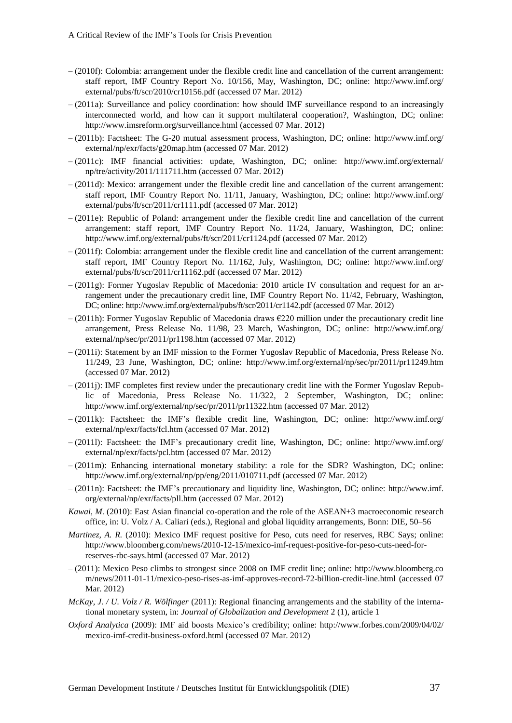- (2010f): Colombia: arrangement under the flexible credit line and cancellation of the current arrangement: staff report, IMF Country Report No. 10/156, May, Washington, DC; online: http://www.imf.org/ external/pubs/ft/scr/2010/cr10156.pdf (accessed 07 Mar. 2012)
- (2011a): Surveillance and policy coordination: how should IMF surveillance respond to an increasingly interconnected world, and how can it support multilateral cooperation?, Washington, DC; online: http://www.imsreform.org/surveillance.html (accessed 07 Mar. 2012)
- (2011b): Factsheet: The G-20 mutual assessment process, Washington, DC; online: http://www.imf.org/ external/np/exr/facts/g20map.htm (accessed 07 Mar. 2012)
- (2011c): IMF financial activities: update, Washington, DC; online: http://www.imf.org/external/ np/tre/activity/2011/111711.htm (accessed 07 Mar. 2012)
- (2011d): Mexico: arrangement under the flexible credit line and cancellation of the current arrangement: staff report, IMF Country Report No. 11/11, January, Washington, DC; online: http://www.imf.org/ external/pubs/ft/scr/2011/cr1111.pdf (accessed 07 Mar. 2012)
- (2011e): Republic of Poland: arrangement under the flexible credit line and cancellation of the current arrangement: staff report, IMF Country Report No. 11/24, January, Washington, DC; online: http://www.imf.org/external/pubs/ft/scr/2011/cr1124.pdf (accessed 07 Mar. 2012)
- (2011f): Colombia: arrangement under the flexible credit line and cancellation of the current arrangement: staff report, IMF Country Report No. 11/162, July, Washington, DC; online: http://www.imf.org/ external/pubs/ft/scr/2011/cr11162.pdf (accessed 07 Mar. 2012)
- (2011g): Former Yugoslav Republic of Macedonia: 2010 article IV consultation and request for an arrangement under the precautionary credit line, IMF Country Report No. 11/42, February, Washington, DC; online: http://www.imf.org/external/pubs/ft/scr/2011/cr1142.pdf (accessed 07 Mar. 2012)
- $-(2011h)$ : Former Yugoslav Republic of Macedonia draws €220 million under the precautionary credit line arrangement, Press Release No. 11/98, 23 March, Washington, DC; online: http://www.imf.org/ external/np/sec/pr/2011/pr1198.htm (accessed 07 Mar. 2012)
- (2011i): Statement by an IMF mission to the Former Yugoslav Republic of Macedonia, Press Release No. 11/249, 23 June, Washington, DC; online: http://www.imf.org/external/np/sec/pr/2011/pr11249.htm (accessed 07 Mar. 2012)
- (2011j): IMF completes first review under the precautionary credit line with the Former Yugoslav Republic of Macedonia, Press Release No. 11/322, 2 September, Washington, DC; online: http://www.imf.org/external/np/sec/pr/2011/pr11322.htm (accessed 07 Mar. 2012)
- (2011k): Factsheet: the IMF's flexible credit line, Washington, DC; online: http://www.imf.org/ external/np/exr/facts/fcl.htm (accessed 07 Mar. 2012)
- (2011l): Factsheet: the IMF's precautionary credit line, Washington, DC; online: http://www.imf.org/ external/np/exr/facts/pcl.htm (accessed 07 Mar. 2012)
- (2011m): Enhancing international monetary stability: a role for the SDR? Washington, DC; online: http://www.imf.org/external/np/pp/eng/2011/010711.pdf (accessed 07 Mar. 2012)
- (2011n): Factsheet: the IMF's precautionary and liquidity line, Washington, DC; online: http://www.imf. org/external/np/exr/facts/pll.htm (accessed 07 Mar. 2012)
- *Kawai, M*. (2010): East Asian financial co-operation and the role of the ASEAN+3 macroeconomic research office, in: U. Volz / A. Caliari (eds.), Regional and global liquidity arrangements, Bonn: DIE, 50–56
- *Martinez, A. R.* (2010): Mexico IMF request positive for Peso, cuts need for reserves, RBC Says; online: http://www.bloomberg.com/news/2010-12-15/mexico-imf-request-positive-for-peso-cuts-need-forreserves-rbc-says.html (accessed 07 Mar. 2012)
- (2011): Mexico Peso climbs to strongest since 2008 on IMF credit line; online: http://www.bloomberg.co m/news/2011-01-11/mexico-peso-rises-as-imf-approves-record-72-billion-credit-line.html (accessed 07 Mar. 2012)
- *McKay, J. / U. Volz / R. Wölfinger* (2011): Regional financing arrangements and the stability of the international monetary system, in: *Journal of Globalization and Development* 2 (1), article 1
- *Oxford Analytica* (2009): IMF aid boosts Mexico's credibility; online: http://www.forbes.com/2009/04/02/ mexico-imf-credit-business-oxford.html (accessed 07 Mar. 2012)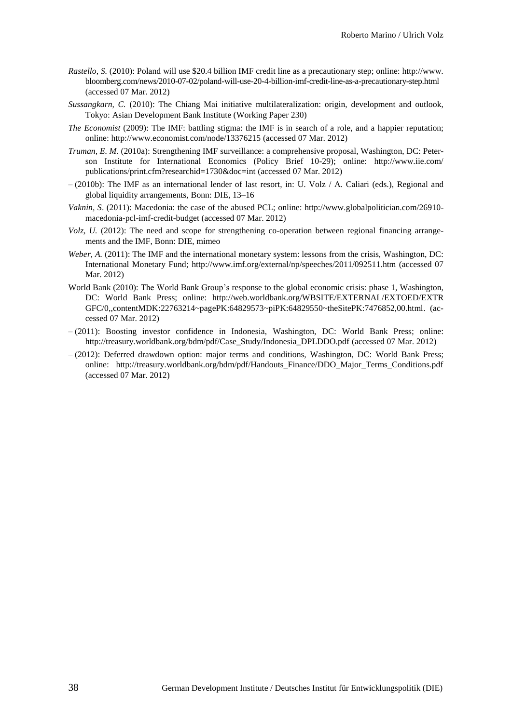- *Rastello, S.* (2010): Poland will use \$20.4 billion IMF credit line as a precautionary step; online: http://www. bloomberg.com/news/2010-07-02/poland-will-use-20-4-billion-imf-credit-line-as-a-precautionary-step.html (accessed 07 Mar. 2012)
- *Sussangkarn, C.* (2010): The Chiang Mai initiative multilateralization: origin, development and outlook, Tokyo: Asian Development Bank Institute (Working Paper 230)
- *The Economist* (2009): The IMF: battling stigma: the IMF is in search of a role, and a happier reputation; online: http://www.economist.com/node/13376215 (accessed 07 Mar. 2012)
- *Truman, E. M.* (2010a): Strengthening IMF surveillance: a comprehensive proposal, Washington, DC: Peterson Institute for International Economics (Policy Brief 10-29); online: http://www.iie.com/ publications/print.cfm?researchid=1730&doc=int (accessed 07 Mar. 2012)
- (2010b): The IMF as an international lender of last resort, in: U. Volz / A. Caliari (eds.), Regional and global liquidity arrangements, Bonn: DIE, 13–16
- *Vaknin, S*. (2011): Macedonia: the case of the abused PCL; online: http://www.globalpolitician.com/26910 macedonia-pcl-imf-credit-budget (accessed 07 Mar. 2012)
- *Volz, U.* (2012): The need and scope for strengthening co-operation between regional financing arrangements and the IMF, Bonn: DIE, mimeo
- *Weber, A.* (2011): The IMF and the international monetary system: lessons from the crisis, Washington, DC: International Monetary Fund; http://www.imf.org/external/np/speeches/2011/092511.htm (accessed 07 Mar. 2012)
- World Bank (2010): The World Bank Group's response to the global economic crisis: phase 1, Washington, DC: World Bank Press; online: http://web.worldbank.org/WBSITE/EXTERNAL/EXTOED/EXTR GFC/0,,contentMDK:22763214~pagePK:64829573~piPK:64829550~theSitePK:7476852,00.html. (accessed 07 Mar. 2012)
- (2011): Boosting investor confidence in Indonesia, Washington, DC: World Bank Press; online: http://treasury.worldbank.org/bdm/pdf/Case\_Study/Indonesia\_DPLDDO.pdf (accessed 07 Mar. 2012)
- (2012): Deferred drawdown option: major terms and conditions, Washington, DC: World Bank Press; online: http://treasury.worldbank.org/bdm/pdf/Handouts\_Finance/DDO\_Major\_Terms\_Conditions.pdf (accessed 07 Mar. 2012)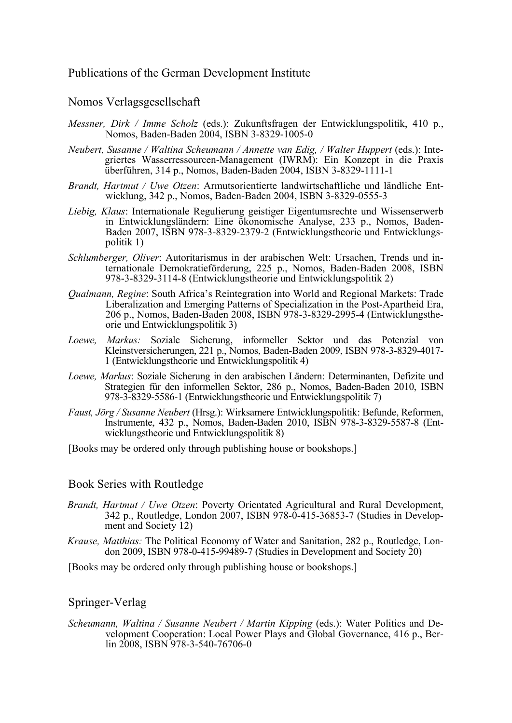# Publications of the German Development Institute

#### Nomos Verlagsgesellschaft

- *Messner, Dirk / Imme Scholz* (eds.): Zukunftsfragen der Entwicklungspolitik, 410 p., Nomos, Baden-Baden 2004, ISBN 3-8329-1005-0
- *Neubert, Susanne / Waltina Scheumann / Annette van Edig, / Walter Huppert (eds.): Inte*griertes Wasserressourcen-Management (IWRM): Ein Konzept in die Praxis überführen, 314 p., Nomos, Baden-Baden 2004, ISBN 3-8329-1111-1
- *Brandt, Hartmut / Uwe Otzen*: Armutsorientierte landwirtschaftliche und ländliche Entwicklung, 342 p., Nomos, Baden-Baden 2004, ISBN 3-8329-0555-3
- *Liebig, Klaus*: Internationale Regulierung geistiger Eigentumsrechte und Wissenserwerb in Entwicklungsländern: Eine ökonomische Analyse, 233 p., Nomos, Baden-Baden 2007, ISBN 978-3-8329-2379-2 (Entwicklungstheorie und Entwicklungspolitik 1)
- *Schlumberger, Oliver*: Autoritarismus in der arabischen Welt: Ursachen, Trends und internationale Demokratieförderung, 225 p., Nomos, Baden-Baden 2008, ISBN 978-3-8329-3114-8 (Entwicklungstheorie und Entwicklungspolitik 2)
- *Qualmann, Regine*: South Africa's Reintegration into World and Regional Markets: Trade Liberalization and Emerging Patterns of Specialization in the Post-Apartheid Era, 206 p., Nomos, Baden-Baden 2008, ISBN 978-3-8329-2995-4 (Entwicklungstheorie und Entwicklungspolitik 3)
- *Loewe, Markus:* Soziale Sicherung, informeller Sektor und das Potenzial von Kleinstversicherungen, 221 p., Nomos, Baden-Baden 2009, ISBN 978-3-8329-4017- 1 (Entwicklungstheorie und Entwicklungspolitik 4)
- *Loewe, Markus*: Soziale Sicherung in den arabischen Ländern: Determinanten, Defizite und Strategien für den informellen Sektor, 286 p., Nomos, Baden-Baden 2010, ISBN 978-3-8329-5586-1 (Entwicklungstheorie und Entwicklungspolitik 7)
- *Faust, Jörg / Susanne Neubert* (Hrsg.): Wirksamere Entwicklungspolitik: Befunde, Reformen, Instrumente, 432 p., Nomos, Baden-Baden 2010, ISBN 978-3-8329-5587-8 (Entwicklungstheorie und Entwicklungspolitik 8)
- [Books may be ordered only through publishing house or bookshops.]

#### Book Series with Routledge

- *Brandt, Hartmut / Uwe Otzen*: Poverty Orientated Agricultural and Rural Development, 342 p., Routledge, London 2007, ISBN 978-0-415-36853-7 (Studies in Development and Society 12)
- *Krause, Matthias:* The Political Economy of Water and Sanitation, 282 p., Routledge, London 2009, ISBN 978-0-415-99489-7 (Studies in Development and Society  $\overline{20}$ )

[Books may be ordered only through publishing house or bookshops.]

#### Springer-Verlag

*Scheumann, Waltina / Susanne Neubert / Martin Kipping* (eds.): Water Politics and Development Cooperation: Local Power Plays and Global Governance, 416 p., Berlin 2008, ISBN 978-3-540-76706-0